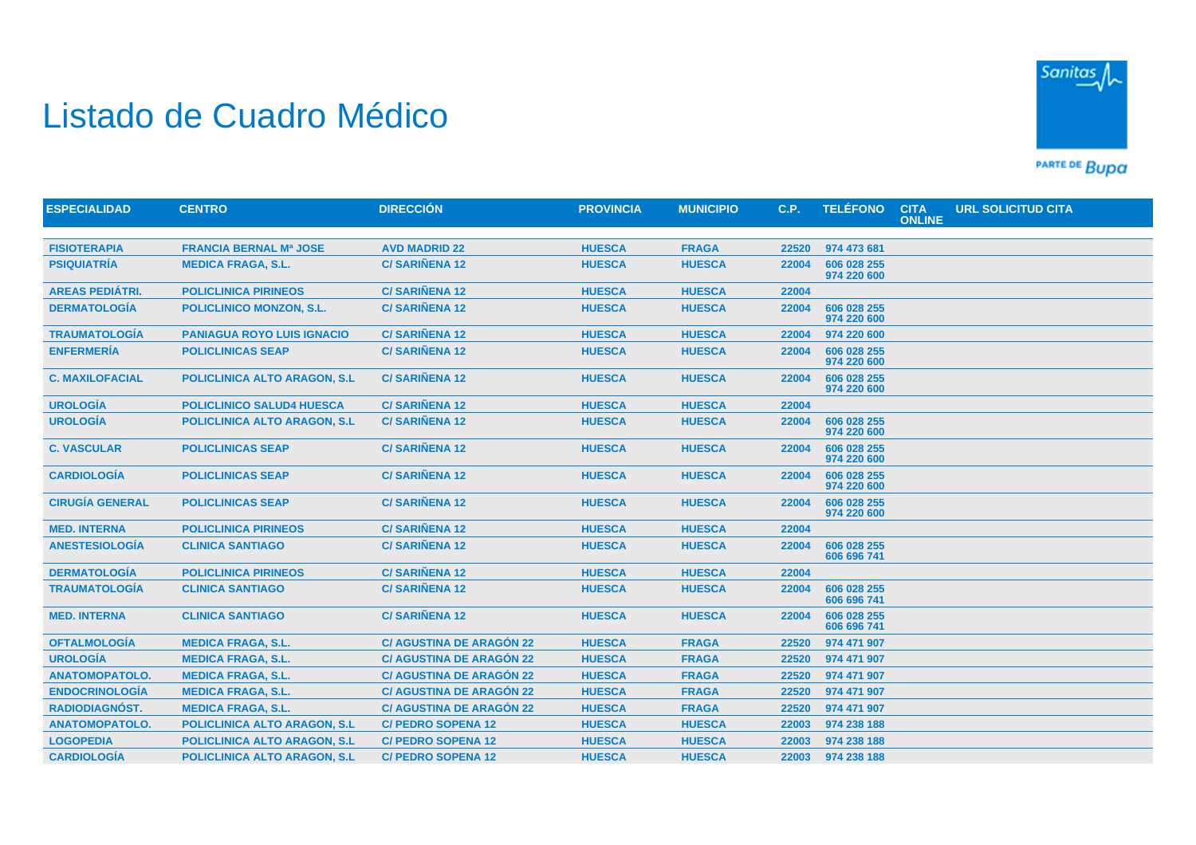## Listado de Cuadro Médico



PARTE DE BUDA

| <b>ESPECIALIDAD</b>    | <b>CENTRO</b>                        | <b>DIRECCIÓN</b>                | <b>PROVINCIA</b> | <b>MUNICIPIO</b> | C.P.  | <b>TELÉFONO</b>            | <b>CITA</b><br><b>ONLINE</b> | <b>URL SOLICITUD CITA</b> |  |
|------------------------|--------------------------------------|---------------------------------|------------------|------------------|-------|----------------------------|------------------------------|---------------------------|--|
|                        |                                      |                                 |                  |                  |       |                            |                              |                           |  |
| <b>FISIOTERAPIA</b>    | <b>FRANCIA BERNAL Mª JOSE</b>        | <b>AVD MADRID 22</b>            | <b>HUESCA</b>    | <b>FRAGA</b>     | 22520 | 974 473 681                |                              |                           |  |
| <b>PSIQUIATRÍA</b>     | <b>MEDICA FRAGA, S.L.</b>            | <b>C/SARIÑENA 12</b>            | <b>HUESCA</b>    | <b>HUESCA</b>    | 22004 | 606 028 255<br>974 220 600 |                              |                           |  |
| <b>AREAS PEDIÁTRI.</b> | <b>POLICLINICA PIRINEOS</b>          | <b>C/SARIÑENA 12</b>            | <b>HUESCA</b>    | <b>HUESCA</b>    | 22004 |                            |                              |                           |  |
| <b>DERMATOLOGIA</b>    | <b>POLICLINICO MONZON, S.L.</b>      | <b>C/SARIÑENA 12</b>            | <b>HUESCA</b>    | <b>HUESCA</b>    | 22004 | 606 028 255<br>974 220 600 |                              |                           |  |
| <b>TRAUMATOLOGÍA</b>   | <b>PANIAGUA ROYO LUIS IGNACIO</b>    | <b>C/SARIÑENA 12</b>            | <b>HUESCA</b>    | <b>HUESCA</b>    | 22004 | 974 220 600                |                              |                           |  |
| <b>ENFERMERÍA</b>      | <b>POLICLINICAS SEAP</b>             | <b>C/SARIÑENA 12</b>            | <b>HUESCA</b>    | <b>HUESCA</b>    | 22004 | 606 028 255<br>974 220 600 |                              |                           |  |
| <b>C. MAXILOFACIAL</b> | POLICLINICA ALTO ARAGON, S.L.        | <b>C/SARIÑENA 12</b>            | <b>HUESCA</b>    | <b>HUESCA</b>    | 22004 | 606 028 255<br>974 220 600 |                              |                           |  |
| <b>UROLOGÍA</b>        | <b>POLICLINICO SALUD4 HUESCA</b>     | <b>C/SARIÑENA 12</b>            | <b>HUESCA</b>    | <b>HUESCA</b>    | 22004 |                            |                              |                           |  |
| <b>UROLOGÍA</b>        | <b>POLICLINICA ALTO ARAGON, S.L.</b> | <b>C/SARIÑENA 12</b>            | <b>HUESCA</b>    | <b>HUESCA</b>    | 22004 | 606 028 255<br>974 220 600 |                              |                           |  |
| <b>C. VASCULAR</b>     | <b>POLICLINICAS SEAP</b>             | <b>C/SARIÑENA 12</b>            | <b>HUESCA</b>    | <b>HUESCA</b>    | 22004 | 606 028 255<br>974 220 600 |                              |                           |  |
| <b>CARDIOLOGÍA</b>     | <b>POLICLINICAS SEAP</b>             | <b>C/SARIÑENA 12</b>            | <b>HUESCA</b>    | <b>HUESCA</b>    | 22004 | 606 028 255<br>974 220 600 |                              |                           |  |
| <b>CIRUGÍA GENERAL</b> | <b>POLICLINICAS SEAP</b>             | <b>C/SARIÑENA 12</b>            | <b>HUESCA</b>    | <b>HUESCA</b>    | 22004 | 606 028 255<br>974 220 600 |                              |                           |  |
| <b>MED. INTERNA</b>    | <b>POLICLINICA PIRINEOS</b>          | <b>C/SARIÑENA 12</b>            | <b>HUESCA</b>    | <b>HUESCA</b>    | 22004 |                            |                              |                           |  |
| <b>ANESTESIOLOGÍA</b>  | <b>CLINICA SANTIAGO</b>              | <b>C/SARIÑENA 12</b>            | <b>HUESCA</b>    | <b>HUESCA</b>    | 22004 | 606 028 255<br>606 696 741 |                              |                           |  |
| <b>DERMATOLOGÍA</b>    | <b>POLICLINICA PIRINEOS</b>          | <b>C/SARIÑENA 12</b>            | <b>HUESCA</b>    | <b>HUESCA</b>    | 22004 |                            |                              |                           |  |
| <b>TRAUMATOLOGÍA</b>   | <b>CLINICA SANTIAGO</b>              | <b>C/SARIÑENA 12</b>            | <b>HUESCA</b>    | <b>HUESCA</b>    | 22004 | 606 028 255<br>606 696 741 |                              |                           |  |
| <b>MED. INTERNA</b>    | <b>CLINICA SANTIAGO</b>              | <b>C/SARIÑENA 12</b>            | <b>HUESCA</b>    | <b>HUESCA</b>    | 22004 | 606 028 255<br>606 696 741 |                              |                           |  |
| <b>OFTALMOLOGÍA</b>    | <b>MEDICA FRAGA, S.L.</b>            | <b>C/ AGUSTINA DE ARAGÓN 22</b> | <b>HUESCA</b>    | <b>FRAGA</b>     | 22520 | 974 471 907                |                              |                           |  |
| <b>UROLOGÍA</b>        | <b>MEDICA FRAGA, S.L.</b>            | <b>C/ AGUSTINA DE ARAGÓN 22</b> | <b>HUESCA</b>    | <b>FRAGA</b>     | 22520 | 974 471 907                |                              |                           |  |
| <b>ANATOMOPATOLO.</b>  | <b>MEDICA FRAGA, S.L.</b>            | <b>C/ AGUSTINA DE ARAGÓN 22</b> | <b>HUESCA</b>    | <b>FRAGA</b>     | 22520 | 974 471 907                |                              |                           |  |
| <b>ENDOCRINOLOGÍA</b>  | <b>MEDICA FRAGA, S.L.</b>            | <b>C/ AGUSTINA DE ARAGÓN 22</b> | <b>HUESCA</b>    | <b>FRAGA</b>     | 22520 | 974 471 907                |                              |                           |  |
| <b>RADIODIAGNÓST.</b>  | <b>MEDICA FRAGA, S.L.</b>            | <b>C/ AGUSTINA DE ARAGÓN 22</b> | <b>HUESCA</b>    | <b>FRAGA</b>     | 22520 | 974 471 907                |                              |                           |  |
| <b>ANATOMOPATOLO.</b>  | <b>POLICLINICA ALTO ARAGON, S.L.</b> | <b>C/ PEDRO SOPENA 12</b>       | <b>HUESCA</b>    | <b>HUESCA</b>    | 22003 | 974 238 188                |                              |                           |  |
| <b>LOGOPEDIA</b>       | <b>POLICLINICA ALTO ARAGON, S.L</b>  | <b>C/ PEDRO SOPENA 12</b>       | <b>HUESCA</b>    | <b>HUESCA</b>    | 22003 | 974 238 188                |                              |                           |  |
| <b>CARDIOLOGÍA</b>     | <b>POLICLINICA ALTO ARAGON, S.L.</b> | <b>C/ PEDRO SOPENA 12</b>       | <b>HUESCA</b>    | <b>HUESCA</b>    |       | 22003 974 238 188          |                              |                           |  |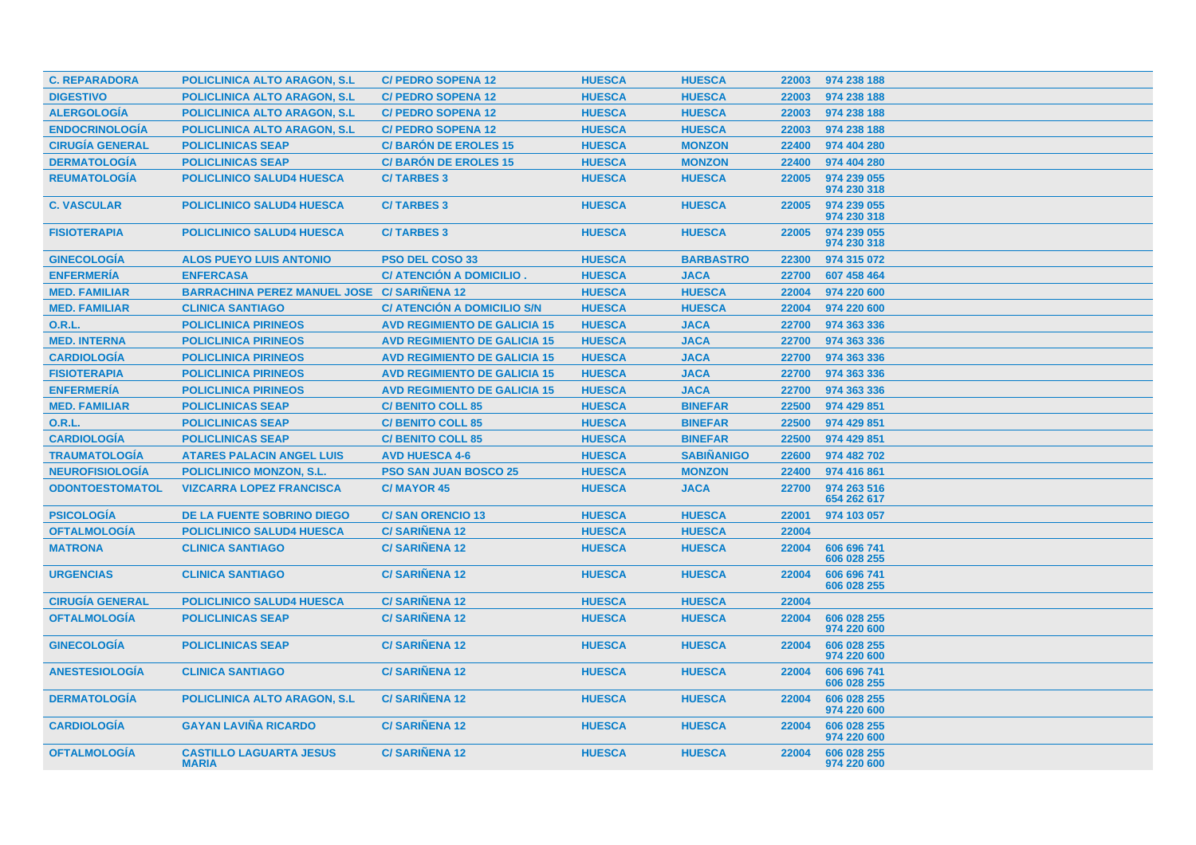| <b>C. REPARADORA</b>   | <b>POLICLINICA ALTO ARAGON, S.L.</b>           | <b>C/ PEDRO SOPENA 12</b>           | <b>HUESCA</b> | <b>HUESCA</b>     | 22003 | 974 238 188                |
|------------------------|------------------------------------------------|-------------------------------------|---------------|-------------------|-------|----------------------------|
| <b>DIGESTIVO</b>       | <b>POLICLINICA ALTO ARAGON, S.L.</b>           | <b>C/ PEDRO SOPENA 12</b>           | <b>HUESCA</b> | <b>HUESCA</b>     | 22003 | 974 238 188                |
| <b>ALERGOLOGÍA</b>     | POLICLINICA ALTO ARAGON, S.L.                  | <b>C/ PEDRO SOPENA 12</b>           | <b>HUESCA</b> | <b>HUESCA</b>     | 22003 | 974 238 188                |
| <b>ENDOCRINOLOGÍA</b>  | <b>POLICLINICA ALTO ARAGON, S.L.</b>           | <b>C/ PEDRO SOPENA 12</b>           | <b>HUESCA</b> | <b>HUESCA</b>     | 22003 | 974 238 188                |
| <b>CIRUGÍA GENERAL</b> | <b>POLICLINICAS SEAP</b>                       | <b>C/BARÓN DE EROLES 15</b>         | <b>HUESCA</b> | <b>MONZON</b>     | 22400 | 974 404 280                |
| <b>DERMATOLOGÍA</b>    | <b>POLICLINICAS SEAP</b>                       | <b>C/BARÓN DE EROLES 15</b>         | <b>HUESCA</b> | <b>MONZON</b>     | 22400 | 974 404 280                |
| <b>REUMATOLOGÍA</b>    | <b>POLICLINICO SALUD4 HUESCA</b>               | <b>C/TARBES 3</b>                   | <b>HUESCA</b> | <b>HUESCA</b>     | 22005 | 974 239 055<br>974 230 318 |
| <b>C. VASCULAR</b>     | <b>POLICLINICO SALUD4 HUESCA</b>               | <b>C/TARBES 3</b>                   | <b>HUESCA</b> | <b>HUESCA</b>     | 22005 | 974 239 055<br>974 230 318 |
| <b>FISIOTERAPIA</b>    | <b>POLICLINICO SALUD4 HUESCA</b>               | <b>C/TARBES 3</b>                   | <b>HUESCA</b> | <b>HUESCA</b>     | 22005 | 974 239 055<br>974 230 318 |
| <b>GINECOLOGIA</b>     | <b>ALOS PUEYO LUIS ANTONIO</b>                 | PSO DEL COSO 33                     | <b>HUESCA</b> | <b>BARBASTRO</b>  | 22300 | 974 315 072                |
| <b>ENFERMERÍA</b>      | <b>ENFERCASA</b>                               | C/ ATENCIÓN A DOMICILIO.            | <b>HUESCA</b> | <b>JACA</b>       | 22700 | 607 458 464                |
| <b>MED. FAMILIAR</b>   | BARRACHINA PEREZ MANUEL JOSE C/ SARIÑENA 12    |                                     | <b>HUESCA</b> | <b>HUESCA</b>     | 22004 | 974 220 600                |
| <b>MED. FAMILIAR</b>   | <b>CLINICA SANTIAGO</b>                        | C/ ATENCIÓN A DOMICILIO S/N         | <b>HUESCA</b> | <b>HUESCA</b>     | 22004 | 974 220 600                |
| 0.R.L.                 | <b>POLICLINICA PIRINEOS</b>                    | <b>AVD REGIMIENTO DE GALICIA 15</b> | <b>HUESCA</b> | <b>JACA</b>       | 22700 | 974 363 336                |
| <b>MED. INTERNA</b>    | <b>POLICLINICA PIRINEOS</b>                    | <b>AVD REGIMIENTO DE GALICIA 15</b> | <b>HUESCA</b> | <b>JACA</b>       | 22700 | 974 363 336                |
| <b>CARDIOLOGÍA</b>     | <b>POLICLINICA PIRINEOS</b>                    | <b>AVD REGIMIENTO DE GALICIA 15</b> | <b>HUESCA</b> | <b>JACA</b>       | 22700 | 974 363 336                |
| <b>FISIOTERAPIA</b>    | <b>POLICLINICA PIRINEOS</b>                    | <b>AVD REGIMIENTO DE GALICIA 15</b> | <b>HUESCA</b> | <b>JACA</b>       | 22700 | 974 363 336                |
| <b>ENFERMERIA</b>      | <b>POLICLINICA PIRINEOS</b>                    | <b>AVD REGIMIENTO DE GALICIA 15</b> | <b>HUESCA</b> | <b>JACA</b>       | 22700 | 974 363 336                |
| <b>MED. FAMILIAR</b>   | <b>POLICLINICAS SEAP</b>                       | <b>C/ BENITO COLL 85</b>            | <b>HUESCA</b> | <b>BINEFAR</b>    | 22500 | 974 429 851                |
| <b>O.R.L.</b>          | <b>POLICLINICAS SEAP</b>                       | <b>C/ BENITO COLL 85</b>            | <b>HUESCA</b> | <b>BINEFAR</b>    | 22500 | 974 429 851                |
| <b>CARDIOLOGÍA</b>     | <b>POLICLINICAS SEAP</b>                       | <b>C/ BENITO COLL 85</b>            | <b>HUESCA</b> | <b>BINEFAR</b>    | 22500 | 974 429 851                |
| <b>TRAUMATOLOGIA</b>   | <b>ATARES PALACIN ANGEL LUIS</b>               | <b>AVD HUESCA 4-6</b>               | <b>HUESCA</b> | <b>SABIÑANIGO</b> | 22600 | 974 482 702                |
| <b>NEUROFISIOLOGÍA</b> | <b>POLICLINICO MONZON, S.L.</b>                | <b>PSO SAN JUAN BOSCO 25</b>        | <b>HUESCA</b> | <b>MONZON</b>     | 22400 | 974 416 861                |
| <b>ODONTOESTOMATOL</b> | <b>VIZCARRA LOPEZ FRANCISCA</b>                | <b>C/MAYOR 45</b>                   | <b>HUESCA</b> | <b>JACA</b>       | 22700 | 974 263 516<br>654 262 617 |
| <b>PSICOLOGÍA</b>      | <b>DE LA FUENTE SOBRINO DIEGO</b>              | <b>C/SAN ORENCIO 13</b>             | <b>HUESCA</b> | <b>HUESCA</b>     | 22001 | 974 103 057                |
| <b>OFTALMOLOGÍA</b>    | <b>POLICLINICO SALUD4 HUESCA</b>               | <b>C/SARIÑENA 12</b>                | <b>HUESCA</b> | <b>HUESCA</b>     | 22004 |                            |
| <b>MATRONA</b>         | <b>CLINICA SANTIAGO</b>                        | <b>C/SARIÑENA 12</b>                | <b>HUESCA</b> | <b>HUESCA</b>     | 22004 | 606 696 741<br>606 028 255 |
| <b>URGENCIAS</b>       | <b>CLINICA SANTIAGO</b>                        | <b>C/SARIÑENA 12</b>                | <b>HUESCA</b> | <b>HUESCA</b>     | 22004 | 606 696 741<br>606 028 255 |
| <b>CIRUGÍA GENERAL</b> | <b>POLICLINICO SALUD4 HUESCA</b>               | <b>C/SARIÑENA 12</b>                | <b>HUESCA</b> | <b>HUESCA</b>     | 22004 |                            |
| <b>OFTALMOLOGÍA</b>    | <b>POLICLINICAS SEAP</b>                       | <b>C/SARINENA 12</b>                | <b>HUESCA</b> | <b>HUESCA</b>     | 22004 | 606 028 255<br>974 220 600 |
| <b>GINECOLOGÍA</b>     | <b>POLICLINICAS SEAP</b>                       | <b>C/SARIÑENA 12</b>                | <b>HUESCA</b> | <b>HUESCA</b>     | 22004 | 606 028 255<br>974 220 600 |
| <b>ANESTESIOLOGÍA</b>  | <b>CLINICA SANTIAGO</b>                        | <b>C/SARIÑENA 12</b>                | <b>HUESCA</b> | <b>HUESCA</b>     | 22004 | 606 696 741<br>606 028 255 |
| <b>DERMATOLOGIA</b>    | <b>POLICLINICA ALTO ARAGON, S.L.</b>           | <b>C/SARINENA 12</b>                | <b>HUESCA</b> | <b>HUESCA</b>     | 22004 | 606 028 255<br>974 220 600 |
| <b>CARDIOLOGÍA</b>     | <b>GAYAN LAVIÑA RICARDO</b>                    | <b>C/SARIÑENA 12</b>                | <b>HUESCA</b> | <b>HUESCA</b>     | 22004 | 606 028 255<br>974 220 600 |
| <b>OFTALMOLOGIA</b>    | <b>CASTILLO LAGUARTA JESUS</b><br><b>MARIA</b> | <b>C/SARINENA 12</b>                | <b>HUESCA</b> | <b>HUESCA</b>     | 22004 | 606 028 255<br>974 220 600 |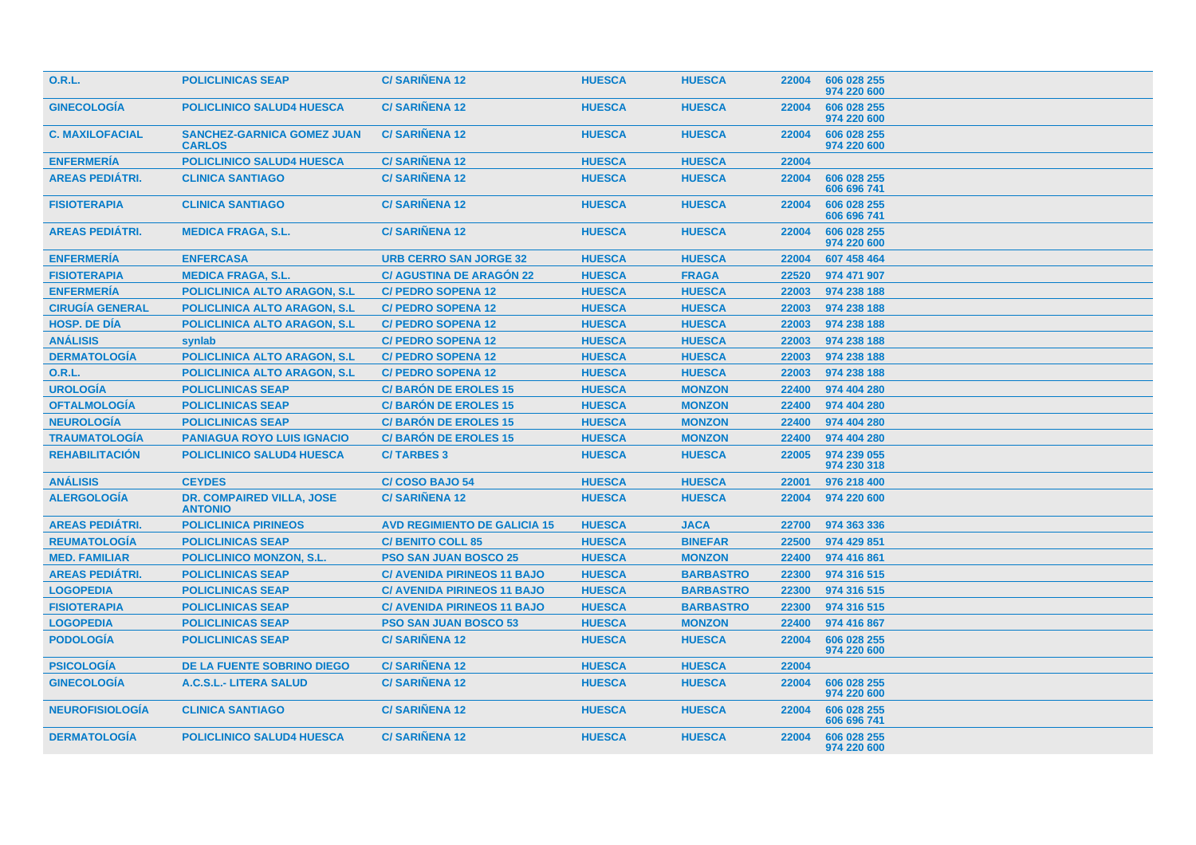| <b>O.R.L.</b>          | <b>POLICLINICAS SEAP</b>                           | <b>C/SARIÑENA 12</b>                | <b>HUESCA</b> | <b>HUESCA</b>    | 22004 | 606 028 255<br>974 220 600 |
|------------------------|----------------------------------------------------|-------------------------------------|---------------|------------------|-------|----------------------------|
| <b>GINECOLOGIA</b>     | <b>POLICLINICO SALUD4 HUESCA</b>                   | <b>C/SARINENA 12</b>                | <b>HUESCA</b> | <b>HUESCA</b>    | 22004 | 606 028 255<br>974 220 600 |
| <b>C. MAXILOFACIAL</b> | <b>SANCHEZ-GARNICA GOMEZ JUAN</b><br><b>CARLOS</b> | <b>C/SARINENA 12</b>                | <b>HUESCA</b> | <b>HUESCA</b>    | 22004 | 606 028 255<br>974 220 600 |
| <b>ENFERMERÍA</b>      | <b>POLICLINICO SALUD4 HUESCA</b>                   | <b>C/SARIÑENA 12</b>                | <b>HUESCA</b> | <b>HUESCA</b>    | 22004 |                            |
| <b>AREAS PEDIÁTRI.</b> | <b>CLINICA SANTIAGO</b>                            | <b>C/SARIÑENA 12</b>                | <b>HUESCA</b> | <b>HUESCA</b>    | 22004 | 606 028 255<br>606 696 741 |
| <b>FISIOTERAPIA</b>    | <b>CLINICA SANTIAGO</b>                            | <b>C/SARINENA 12</b>                | <b>HUESCA</b> | <b>HUESCA</b>    | 22004 | 606 028 255<br>606 696 741 |
| <b>AREAS PEDIÁTRI.</b> | <b>MEDICA FRAGA, S.L.</b>                          | <b>C/SARINENA 12</b>                | <b>HUESCA</b> | <b>HUESCA</b>    | 22004 | 606 028 255<br>974 220 600 |
| <b>ENFERMERÍA</b>      | <b>ENFERCASA</b>                                   | <b>URB CERRO SAN JORGE 32</b>       | <b>HUESCA</b> | <b>HUESCA</b>    | 22004 | 607 458 464                |
| <b>FISIOTERAPIA</b>    | <b>MEDICA FRAGA, S.L.</b>                          | <b>C/AGUSTINA DE ARAGÓN 22</b>      | <b>HUESCA</b> | <b>FRAGA</b>     | 22520 | 974 471 907                |
| <b>ENFERMERÍA</b>      | <b>POLICLINICA ALTO ARAGON, S.L.</b>               | <b>C/ PEDRO SOPENA 12</b>           | <b>HUESCA</b> | <b>HUESCA</b>    | 22003 | 974 238 188                |
| <b>CIRUGÍA GENERAL</b> | <b>POLICLINICA ALTO ARAGON, S.L.</b>               | <b>C/ PEDRO SOPENA 12</b>           | <b>HUESCA</b> | <b>HUESCA</b>    | 22003 | 974 238 188                |
| <b>HOSP. DE DÍA</b>    | <b>POLICLINICA ALTO ARAGON, S.L.</b>               | <b>C/ PEDRO SOPENA 12</b>           | <b>HUESCA</b> | <b>HUESCA</b>    | 22003 | 974 238 188                |
| <b>ANÁLISIS</b>        | synlab                                             | <b>C/ PEDRO SOPENA 12</b>           | <b>HUESCA</b> | <b>HUESCA</b>    | 22003 | 974 238 188                |
| <b>DERMATOLOGÍA</b>    | <b>POLICLINICA ALTO ARAGON. S.L.</b>               | <b>C/ PEDRO SOPENA 12</b>           | <b>HUESCA</b> | <b>HUESCA</b>    | 22003 | 974 238 188                |
| <b>O.R.L.</b>          | <b>POLICLINICA ALTO ARAGON, S.L.</b>               | <b>C/ PEDRO SOPENA 12</b>           | <b>HUESCA</b> | <b>HUESCA</b>    | 22003 | 974 238 188                |
| <b>UROLOGÍA</b>        | <b>POLICLINICAS SEAP</b>                           | <b>C/BARÓN DE EROLES 15</b>         | <b>HUESCA</b> | <b>MONZON</b>    | 22400 | 974 404 280                |
| <b>OFTALMOLOGÍA</b>    | <b>POLICLINICAS SEAP</b>                           | <b>C/BARÓN DE EROLES 15</b>         | <b>HUESCA</b> | <b>MONZON</b>    | 22400 | 974 404 280                |
| <b>NEUROLOGÍA</b>      | <b>POLICLINICAS SEAP</b>                           | <b>C/BARÓN DE EROLES 15</b>         | <b>HUESCA</b> | <b>MONZON</b>    | 22400 | 974 404 280                |
| <b>TRAUMATOLOGÍA</b>   | <b>PANIAGUA ROYO LUIS IGNACIO</b>                  | <b>C/BARÓN DE EROLES 15</b>         | <b>HUESCA</b> | <b>MONZON</b>    | 22400 | 974 404 280                |
| <b>REHABILITACIÓN</b>  | <b>POLICLINICO SALUD4 HUESCA</b>                   | <b>C/TARBES 3</b>                   | <b>HUESCA</b> | <b>HUESCA</b>    | 22005 | 974 239 055<br>974 230 318 |
| <b>ANÁLISIS</b>        | <b>CEYDES</b>                                      | <b>C/COSO BAJO 54</b>               | <b>HUESCA</b> | <b>HUESCA</b>    | 22001 | 976 218 400                |
| <b>ALERGOLOGÍA</b>     | <b>DR. COMPAIRED VILLA, JOSE</b><br><b>ANTONIO</b> | <b>C/SARINENA 12</b>                | <b>HUESCA</b> | <b>HUESCA</b>    | 22004 | 974 220 600                |
| <b>AREAS PEDIÁTRI.</b> | <b>POLICLINICA PIRINEOS</b>                        | <b>AVD REGIMIENTO DE GALICIA 15</b> | <b>HUESCA</b> | <b>JACA</b>      | 22700 | 974 363 336                |
| <b>REUMATOLOGÍA</b>    | <b>POLICLINICAS SEAP</b>                           | <b>C/ BENITO COLL 85</b>            | <b>HUESCA</b> | <b>BINEFAR</b>   | 22500 | 974 429 851                |
| <b>MED. FAMILIAR</b>   | <b>POLICLINICO MONZON, S.L.</b>                    | <b>PSO SAN JUAN BOSCO 25</b>        | <b>HUESCA</b> | <b>MONZON</b>    | 22400 | 974 416 861                |
| <b>AREAS PEDIÁTRI.</b> | <b>POLICLINICAS SEAP</b>                           | <b>C/ AVENIDA PIRINEOS 11 BAJO</b>  | <b>HUESCA</b> | <b>BARBASTRO</b> | 22300 | 974 316 515                |
| <b>LOGOPEDIA</b>       | <b>POLICLINICAS SEAP</b>                           | <b>C/ AVENIDA PIRINEOS 11 BAJO</b>  | <b>HUESCA</b> | <b>BARBASTRO</b> | 22300 | 974 316 515                |
| <b>FISIOTERAPIA</b>    | <b>POLICLINICAS SEAP</b>                           | <b>C/ AVENIDA PIRINEOS 11 BAJO</b>  | <b>HUESCA</b> | <b>BARBASTRO</b> | 22300 | 974 316 515                |
| <b>LOGOPEDIA</b>       | <b>POLICLINICAS SEAP</b>                           | <b>PSO SAN JUAN BOSCO 53</b>        | <b>HUESCA</b> | <b>MONZON</b>    | 22400 | 974 416 867                |
| <b>PODOLOGÍA</b>       | <b>POLICLINICAS SEAP</b>                           | <b>C/SARIÑENA 12</b>                | <b>HUESCA</b> | <b>HUESCA</b>    | 22004 | 606 028 255<br>974 220 600 |
| <b>PSICOLOGÍA</b>      | <b>DE LA FUENTE SOBRINO DIEGO</b>                  | <b>C/SARIÑENA 12</b>                | <b>HUESCA</b> | <b>HUESCA</b>    | 22004 |                            |
| <b>GINECOLOGÍA</b>     | A.C.S.L.- LITERA SALUD                             | <b>C/SARIÑENA 12</b>                | <b>HUESCA</b> | <b>HUESCA</b>    | 22004 | 606 028 255<br>974 220 600 |
| <b>NEUROFISIOLOGIA</b> | <b>CLINICA SANTIAGO</b>                            | <b>C/SARINENA 12</b>                | <b>HUESCA</b> | <b>HUESCA</b>    | 22004 | 606 028 255<br>606 696 741 |
| <b>DERMATOLOGIA</b>    | <b>POLICLINICO SALUD4 HUESCA</b>                   | <b>C/SARINENA 12</b>                | <b>HUESCA</b> | <b>HUESCA</b>    | 22004 | 606 028 255<br>974 220 600 |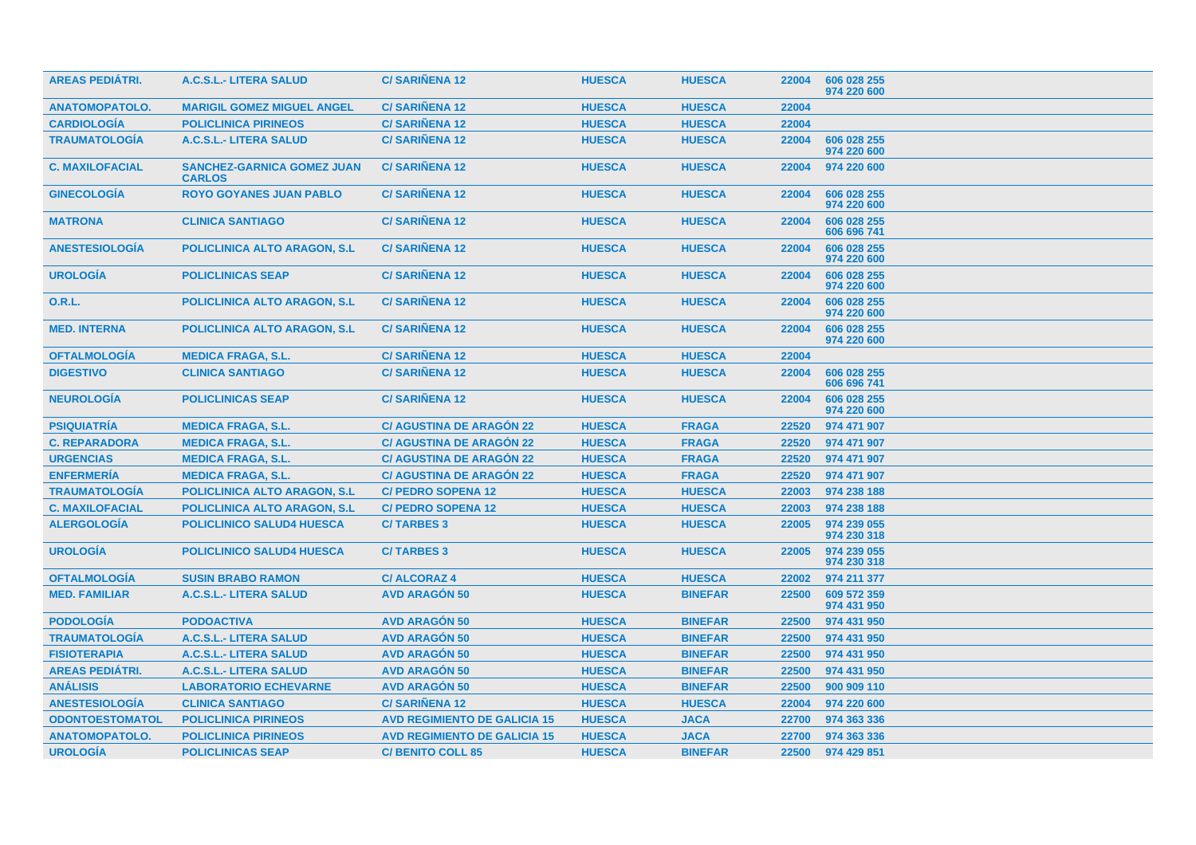| <b>AREAS PEDIATRI.</b> | A.C.S.L.- LITERA SALUD                             | <b>C/SARIÑENA 12</b>                | <b>HUESCA</b> | <b>HUESCA</b>  | 22004 | 606 028 255<br>974 220 600 |
|------------------------|----------------------------------------------------|-------------------------------------|---------------|----------------|-------|----------------------------|
| <b>ANATOMOPATOLO.</b>  | <b>MARIGIL GOMEZ MIGUEL ANGEL</b>                  | <b>C/SARIÑENA 12</b>                | <b>HUESCA</b> | <b>HUESCA</b>  | 22004 |                            |
| <b>CARDIOLOGÍA</b>     | <b>POLICLINICA PIRINEOS</b>                        | <b>C/SARIÑENA 12</b>                | <b>HUESCA</b> | <b>HUESCA</b>  | 22004 |                            |
| <b>TRAUMATOLOGÍA</b>   | A.C.S.L.- LITERA SALUD                             | <b>C/SARINENA 12</b>                | <b>HUESCA</b> | <b>HUESCA</b>  | 22004 | 606 028 255<br>974 220 600 |
| <b>C. MAXILOFACIAL</b> | <b>SANCHEZ-GARNICA GOMEZ JUAN</b><br><b>CARLOS</b> | <b>C/SARIÑENA 12</b>                | <b>HUESCA</b> | <b>HUESCA</b>  | 22004 | 974 220 600                |
| <b>GINECOLOGÍA</b>     | <b>ROYO GOYANES JUAN PABLO</b>                     | <b>C/SARIÑENA 12</b>                | <b>HUESCA</b> | <b>HUESCA</b>  | 22004 | 606 028 255<br>974 220 600 |
| <b>MATRONA</b>         | <b>CLINICA SANTIAGO</b>                            | <b>C/SARIÑENA 12</b>                | <b>HUESCA</b> | <b>HUESCA</b>  | 22004 | 606 028 255<br>606 696 741 |
| <b>ANESTESIOLOGÍA</b>  | <b>POLICLINICA ALTO ARAGON, S.L.</b>               | <b>C/SARINENA 12</b>                | <b>HUESCA</b> | <b>HUESCA</b>  | 22004 | 606 028 255<br>974 220 600 |
| <b>UROLOGÍA</b>        | <b>POLICLINICAS SEAP</b>                           | <b>C/SARIÑENA 12</b>                | <b>HUESCA</b> | <b>HUESCA</b>  | 22004 | 606 028 255<br>974 220 600 |
| <b>O.R.L.</b>          | <b>POLICLINICA ALTO ARAGON, S.L.</b>               | <b>C/SARIÑENA 12</b>                | <b>HUESCA</b> | <b>HUESCA</b>  | 22004 | 606 028 255<br>974 220 600 |
| <b>MED. INTERNA</b>    | <b>POLICLINICA ALTO ARAGON, S.L.</b>               | <b>C/SARIÑENA 12</b>                | <b>HUESCA</b> | <b>HUESCA</b>  | 22004 | 606 028 255<br>974 220 600 |
| <b>OFTALMOLOGIA</b>    | <b>MEDICA FRAGA, S.L.</b>                          | <b>C/SARIÑENA 12</b>                | <b>HUESCA</b> | <b>HUESCA</b>  | 22004 |                            |
| <b>DIGESTIVO</b>       | <b>CLINICA SANTIAGO</b>                            | <b>C/SARINENA 12</b>                | <b>HUESCA</b> | <b>HUESCA</b>  | 22004 | 606 028 255<br>606 696 741 |
| <b>NEUROLOGÍA</b>      | <b>POLICLINICAS SEAP</b>                           | <b>C/SARIÑENA 12</b>                | <b>HUESCA</b> | <b>HUESCA</b>  | 22004 | 606 028 255<br>974 220 600 |
| <b>PSIQUIATRÍA</b>     | <b>MEDICA FRAGA, S.L.</b>                          | <b>C/ AGUSTINA DE ARAGÓN 22</b>     | <b>HUESCA</b> | <b>FRAGA</b>   | 22520 | 974 471 907                |
| <b>C. REPARADORA</b>   | <b>MEDICA FRAGA, S.L.</b>                          | <b>C/ AGUSTINA DE ARAGON 22</b>     | <b>HUESCA</b> | <b>FRAGA</b>   | 22520 | 974 471 907                |
| <b>URGENCIAS</b>       | <b>MEDICA FRAGA, S.L.</b>                          | <b>C/ AGUSTINA DE ARAGÓN 22</b>     | <b>HUESCA</b> | <b>FRAGA</b>   | 22520 | 974 471 907                |
| <b>ENFERMERÍA</b>      | <b>MEDICA FRAGA, S.L.</b>                          | <b>C/ AGUSTINA DE ARAGÓN 22</b>     | <b>HUESCA</b> | <b>FRAGA</b>   | 22520 | 974 471 907                |
| <b>TRAUMATOLOGÍA</b>   | <b>POLICLINICA ALTO ARAGON, S.L.</b>               | <b>C/ PEDRO SOPENA 12</b>           | <b>HUESCA</b> | <b>HUESCA</b>  | 22003 | 974 238 188                |
| <b>C. MAXILOFACIAL</b> | <b>POLICLINICA ALTO ARAGON, S.L.</b>               | <b>C/ PEDRO SOPENA 12</b>           | <b>HUESCA</b> | <b>HUESCA</b>  | 22003 | 974 238 188                |
| <b>ALERGOLOGÍA</b>     | <b>POLICLINICO SALUD4 HUESCA</b>                   | <b>C/TARBES 3</b>                   | <b>HUESCA</b> | <b>HUESCA</b>  | 22005 | 974 239 055<br>974 230 318 |
| <b>UROLOGÍA</b>        | <b>POLICLINICO SALUD4 HUESCA</b>                   | <b>C/TARBES 3</b>                   | <b>HUESCA</b> | <b>HUESCA</b>  | 22005 | 974 239 055<br>974 230 318 |
| <b>OFTALMOLOGIA</b>    | <b>SUSIN BRABO RAMON</b>                           | <b>C/ALCORAZ4</b>                   | <b>HUESCA</b> | <b>HUESCA</b>  | 22002 | 974 211 377                |
| <b>MED. FAMILIAR</b>   | A.C.S.L.- LITERA SALUD                             | <b>AVD ARAGÓN 50</b>                | <b>HUESCA</b> | <b>BINEFAR</b> | 22500 | 609 572 359<br>974 431 950 |
| <b>PODOLOGÍA</b>       | <b>PODOACTIVA</b>                                  | <b>AVD ARAGÓN 50</b>                | <b>HUESCA</b> | <b>BINEFAR</b> | 22500 | 974 431 950                |
| <b>TRAUMATOLOGÍA</b>   | A.C.S.L.- LITERA SALUD                             | <b>AVD ARAGÓN 50</b>                | <b>HUESCA</b> | <b>BINEFAR</b> | 22500 | 974 431 950                |
| <b>FISIOTERAPIA</b>    | A.C.S.L.- LITERA SALUD                             | <b>AVD ARAGON 50</b>                | <b>HUESCA</b> | <b>BINEFAR</b> | 22500 | 974 431 950                |
| <b>AREAS PEDIÁTRI.</b> | A.C.S.L.- LITERA SALUD                             | <b>AVD ARAGÓN 50</b>                | <b>HUESCA</b> | <b>BINEFAR</b> | 22500 | 974 431 950                |
| <b>ANÁLISIS</b>        | <b>LABORATORIO ECHEVARNE</b>                       | <b>AVD ARAGÓN 50</b>                | <b>HUESCA</b> | <b>BINEFAR</b> | 22500 | 900 909 110                |
| <b>ANESTESIOLOGÍA</b>  | <b>CLINICA SANTIAGO</b>                            | <b>C/SARINENA 12</b>                | <b>HUESCA</b> | <b>HUESCA</b>  | 22004 | 974 220 600                |
| <b>ODONTOESTOMATOL</b> | <b>POLICLINICA PIRINEOS</b>                        | <b>AVD REGIMIENTO DE GALICIA 15</b> | <b>HUESCA</b> | <b>JACA</b>    | 22700 | 974 363 336                |
| <b>ANATOMOPATOLO.</b>  | <b>POLICLINICA PIRINEOS</b>                        | <b>AVD REGIMIENTO DE GALICIA 15</b> | <b>HUESCA</b> | <b>JACA</b>    | 22700 | 974 363 336                |
| <b>UROLOGÍA</b>        | <b>POLICLINICAS SEAP</b>                           | <b>C/ BENITO COLL 85</b>            | <b>HUESCA</b> | <b>BINEFAR</b> | 22500 | 974 429 851                |
|                        |                                                    |                                     |               |                |       |                            |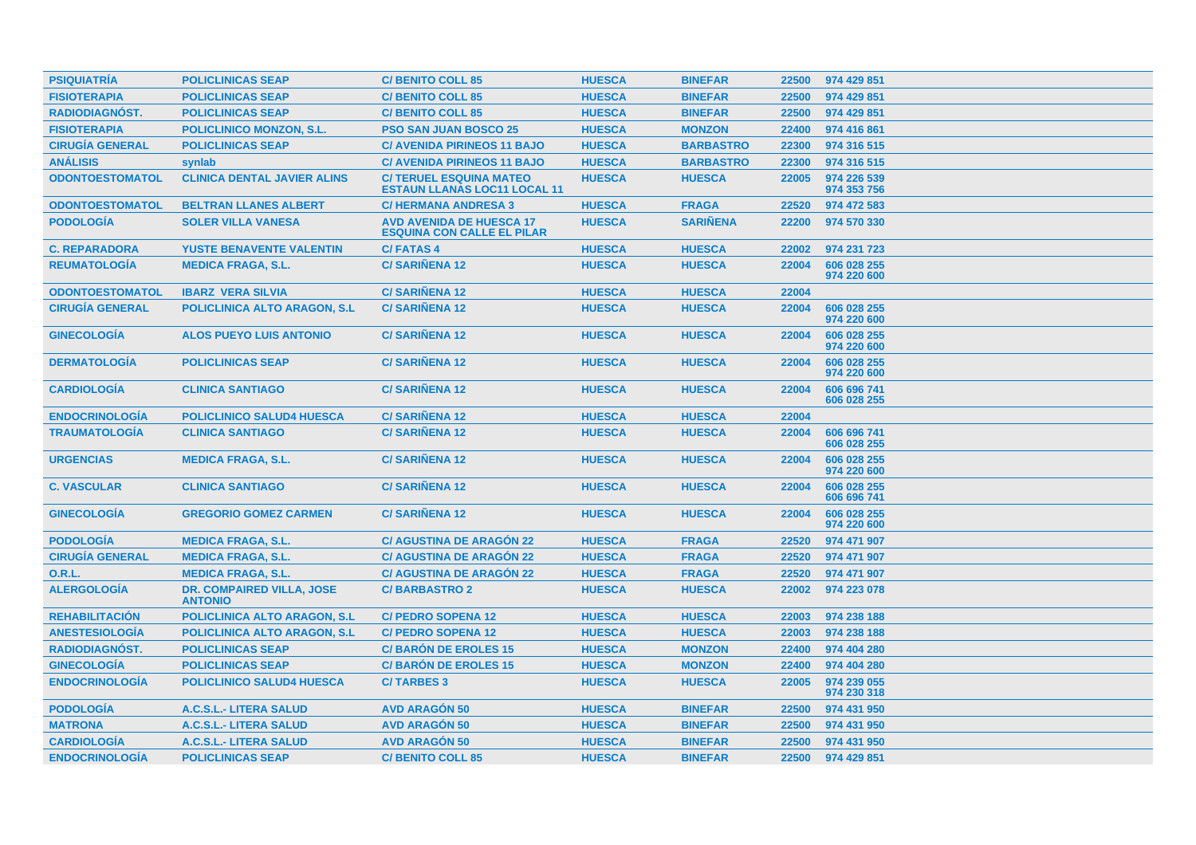| <b>PSIQUIATRIA</b>     | <b>POLICLINICAS SEAP</b>                           | <b>C/ BENITO COLL 85</b>                                              | <b>HUESCA</b> | <b>BINEFAR</b>   | 22500 | 974 429 851                |
|------------------------|----------------------------------------------------|-----------------------------------------------------------------------|---------------|------------------|-------|----------------------------|
| <b>FISIOTERAPIA</b>    | <b>POLICLINICAS SEAP</b>                           | <b>C/ BENITO COLL 85</b>                                              | <b>HUESCA</b> | <b>BINEFAR</b>   | 22500 | 974 429 851                |
| <b>RADIODIAGNÓST.</b>  | <b>POLICLINICAS SEAP</b>                           | <b>C/BENITO COLL 85</b>                                               | <b>HUESCA</b> | <b>BINEFAR</b>   | 22500 | 974 429 851                |
| <b>FISIOTERAPIA</b>    | <b>POLICLINICO MONZON, S.L.</b>                    | <b>PSO SAN JUAN BOSCO 25</b>                                          | <b>HUESCA</b> | <b>MONZON</b>    | 22400 | 974 416 861                |
| <b>CIRUGÍA GENERAL</b> | <b>POLICLINICAS SEAP</b>                           | <b>C/ AVENIDA PIRINEOS 11 BAJO</b>                                    | <b>HUESCA</b> | <b>BARBASTRO</b> | 22300 | 974 316 515                |
| <b>ANÁLISIS</b>        | synlab                                             | <b>C/ AVENIDA PIRINEOS 11 BAJO</b>                                    | <b>HUESCA</b> | <b>BARBASTRO</b> | 22300 | 974 316 515                |
| <b>ODONTOESTOMATOL</b> | <b>CLINICA DENTAL JAVIER ALINS</b>                 | <b>C/ TERUEL ESQUINA MATEO</b><br><b>ESTAUN LLANAS LOC11 LOCAL 11</b> | <b>HUESCA</b> | <b>HUESCA</b>    | 22005 | 974 226 539<br>974 353 756 |
| <b>ODONTOESTOMATOL</b> | <b>BELTRAN LLANES ALBERT</b>                       | <b>C/HERMANA ANDRESA 3</b>                                            | <b>HUESCA</b> | <b>FRAGA</b>     | 22520 | 974 472 583                |
| <b>PODOLOGIA</b>       | <b>SOLER VILLA VANESA</b>                          | <b>AVD AVENIDA DE HUESCA 17</b><br><b>ESQUINA CON CALLE EL PILAR</b>  | <b>HUESCA</b> | <b>SARINENA</b>  | 22200 | 974 570 330                |
| <b>C. REPARADORA</b>   | <b>YUSTE BENAVENTE VALENTIN</b>                    | <b>C/FATAS4</b>                                                       | <b>HUESCA</b> | <b>HUESCA</b>    | 22002 | 974 231 723                |
| <b>REUMATOLOGÍA</b>    | <b>MEDICA FRAGA, S.L.</b>                          | <b>C/SARINENA 12</b>                                                  | <b>HUESCA</b> | <b>HUESCA</b>    | 22004 | 606 028 255<br>974 220 600 |
| <b>ODONTOESTOMATOL</b> | <b>IBARZ VERA SILVIA</b>                           | <b>C/SARIÑENA 12</b>                                                  | <b>HUESCA</b> | <b>HUESCA</b>    | 22004 |                            |
| <b>CIRUGÍA GENERAL</b> | <b>POLICLINICA ALTO ARAGON, S.L.</b>               | <b>C/SARINENA 12</b>                                                  | <b>HUESCA</b> | <b>HUESCA</b>    | 22004 | 606 028 255<br>974 220 600 |
| <b>GINECOLOGÍA</b>     | <b>ALOS PUEYO LUIS ANTONIO</b>                     | <b>C/SARIÑENA 12</b>                                                  | <b>HUESCA</b> | <b>HUESCA</b>    | 22004 | 606 028 255<br>974 220 600 |
| <b>DERMATOLOGIA</b>    | <b>POLICLINICAS SEAP</b>                           | <b>C/SARIÑENA 12</b>                                                  | <b>HUESCA</b> | <b>HUESCA</b>    | 22004 | 606 028 255<br>974 220 600 |
| <b>CARDIOLOGIA</b>     | <b>CLINICA SANTIAGO</b>                            | <b>C/SARINENA 12</b>                                                  | <b>HUESCA</b> | <b>HUESCA</b>    | 22004 | 606 696 741<br>606 028 255 |
| <b>ENDOCRINOLOGÍA</b>  | <b>POLICLINICO SALUD4 HUESCA</b>                   | <b>C/SARINENA 12</b>                                                  | <b>HUESCA</b> | <b>HUESCA</b>    | 22004 |                            |
| <b>TRAUMATOLOGÍA</b>   | <b>CLINICA SANTIAGO</b>                            | <b>C/SARINENA 12</b>                                                  | <b>HUESCA</b> | <b>HUESCA</b>    | 22004 | 606 696 741<br>606 028 255 |
| <b>URGENCIAS</b>       | <b>MEDICA FRAGA, S.L.</b>                          | <b>C/SARIÑENA 12</b>                                                  | <b>HUESCA</b> | <b>HUESCA</b>    | 22004 | 606 028 255<br>974 220 600 |
| <b>C. VASCULAR</b>     | <b>CLINICA SANTIAGO</b>                            | <b>C/SARINENA 12</b>                                                  | <b>HUESCA</b> | <b>HUESCA</b>    | 22004 | 606 028 255<br>606 696 741 |
| <b>GINECOLOGÍA</b>     | <b>GREGORIO GOMEZ CARMEN</b>                       | <b>C/SARIÑENA 12</b>                                                  | <b>HUESCA</b> | <b>HUESCA</b>    | 22004 | 606 028 255<br>974 220 600 |
| <b>PODOLOGÍA</b>       | <b>MEDICA FRAGA, S.L.</b>                          | <b>C/ AGUSTINA DE ARAGON 22</b>                                       | <b>HUESCA</b> | <b>FRAGA</b>     | 22520 | 974 471 907                |
| <b>CIRUGÍA GENERAL</b> | <b>MEDICA FRAGA, S.L.</b>                          | <b>C/ AGUSTINA DE ARAGÓN 22</b>                                       | <b>HUESCA</b> | <b>FRAGA</b>     | 22520 | 974 471 907                |
| <b>O.R.L.</b>          | <b>MEDICA FRAGA, S.L.</b>                          | <b>C/ AGUSTINA DE ARAGÓN 22</b>                                       | <b>HUESCA</b> | <b>FRAGA</b>     | 22520 | 974 471 907                |
| <b>ALERGOLOGÍA</b>     | <b>DR. COMPAIRED VILLA, JOSE</b><br><b>ANTONIO</b> | <b>C/BARBASTRO 2</b>                                                  | <b>HUESCA</b> | <b>HUESCA</b>    | 22002 | 974 223 078                |
| <b>REHABILITACIÓN</b>  | <b>POLICLINICA ALTO ARAGON, S.L.</b>               | <b>C/ PEDRO SOPENA 12</b>                                             | <b>HUESCA</b> | <b>HUESCA</b>    | 22003 | 974 238 188                |
| <b>ANESTESIOLOGÍA</b>  | <b>POLICLINICA ALTO ARAGON, S.L.</b>               | <b>C/ PEDRO SOPENA 12</b>                                             | <b>HUESCA</b> | <b>HUESCA</b>    | 22003 | 974 238 188                |
| <b>RADIODIAGNÓST.</b>  | <b>POLICLINICAS SEAP</b>                           | <b>C/BARÓN DE EROLES 15</b>                                           | <b>HUESCA</b> | <b>MONZON</b>    | 22400 | 974 404 280                |
| <b>GINECOLOGÍA</b>     | <b>POLICLINICAS SEAP</b>                           | <b>C/BARÓN DE EROLES 15</b>                                           | <b>HUESCA</b> | <b>MONZON</b>    | 22400 | 974 404 280                |
| <b>ENDOCRINOLOGÍA</b>  | <b>POLICLINICO SALUD4 HUESCA</b>                   | <b>C/TARBES 3</b>                                                     | <b>HUESCA</b> | <b>HUESCA</b>    | 22005 | 974 239 055<br>974 230 318 |
| <b>PODOLOGÍA</b>       | A.C.S.L.- LITERA SALUD                             | <b>AVD ARAGÓN 50</b>                                                  | <b>HUESCA</b> | <b>BINEFAR</b>   | 22500 | 974 431 950                |
| <b>MATRONA</b>         | A.C.S.L.- LITERA SALUD                             | <b>AVD ARAGON 50</b>                                                  | <b>HUESCA</b> | <b>BINEFAR</b>   | 22500 | 974 431 950                |
| <b>CARDIOLOGÍA</b>     | A.C.S.L.- LITERA SALUD                             | <b>AVD ARAGÓN 50</b>                                                  | <b>HUESCA</b> | <b>BINEFAR</b>   | 22500 | 974 431 950                |
| <b>ENDOCRINOLOGÍA</b>  | <b>POLICLINICAS SEAP</b>                           | <b>C/BENITO COLL 85</b>                                               | <b>HUESCA</b> | <b>BINEFAR</b>   | 22500 | 974 429 851                |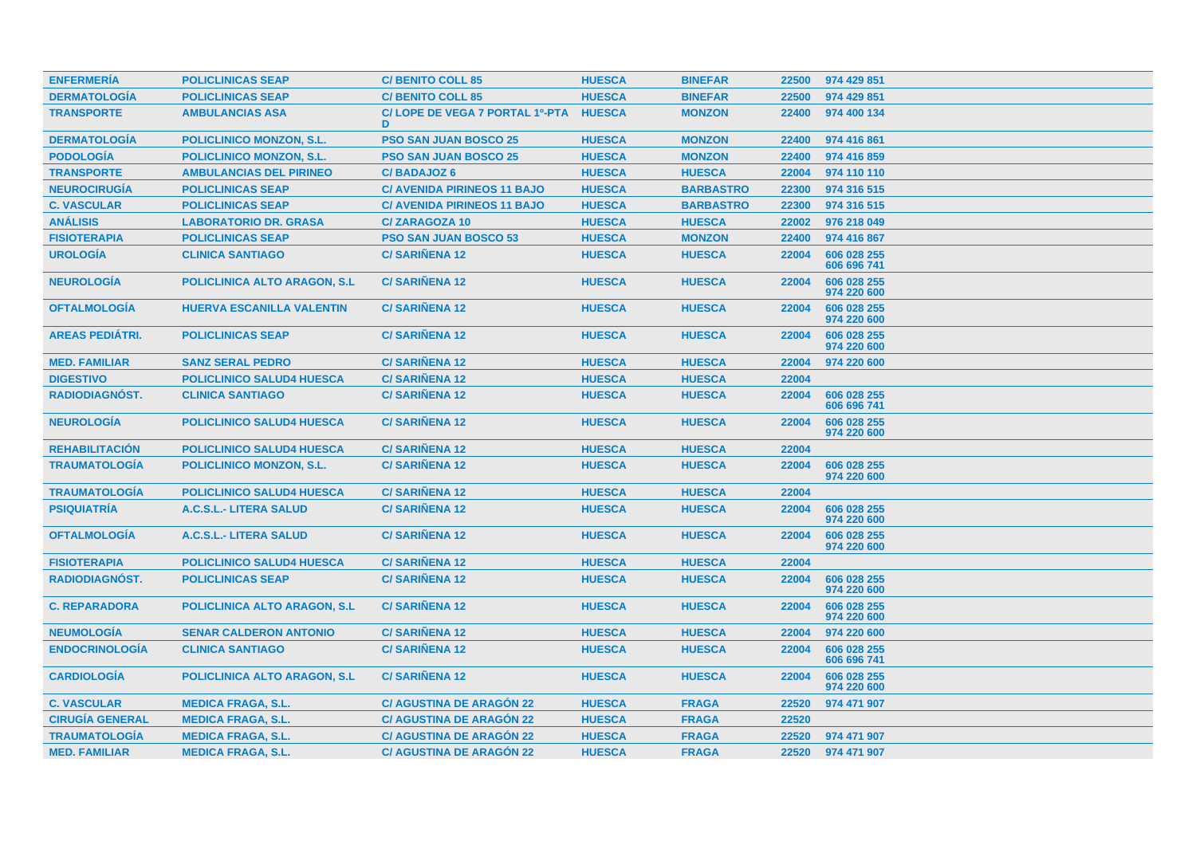| <b>ENFERMERÍA</b>      | <b>POLICLINICAS SEAP</b>             | <b>C/ BENITO COLL 85</b>            | <b>HUESCA</b> | <b>BINEFAR</b>   | 22500 | 974 429 851                |
|------------------------|--------------------------------------|-------------------------------------|---------------|------------------|-------|----------------------------|
| <b>DERMATOLOGÍA</b>    | <b>POLICLINICAS SEAP</b>             | <b>C/BENITO COLL 85</b>             | <b>HUESCA</b> | <b>BINEFAR</b>   | 22500 | 974 429 851                |
| <b>TRANSPORTE</b>      | <b>AMBULANCIAS ASA</b>               | C/LOPE DE VEGA 7 PORTAL 1º-PTA<br>D | <b>HUESCA</b> | <b>MONZON</b>    | 22400 | 974 400 134                |
| <b>DERMATOLOGÍA</b>    | <b>POLICLINICO MONZON, S.L.</b>      | PSO SAN JUAN BOSCO 25               | <b>HUESCA</b> | <b>MONZON</b>    | 22400 | 974 416 861                |
| <b>PODOLOGÍA</b>       | <b>POLICLINICO MONZON, S.L.</b>      | <b>PSO SAN JUAN BOSCO 25</b>        | <b>HUESCA</b> | <b>MONZON</b>    | 22400 | 974 416 859                |
| <b>TRANSPORTE</b>      | <b>AMBULANCIAS DEL PIRINEO</b>       | C/BADAJOZ 6                         | <b>HUESCA</b> | <b>HUESCA</b>    | 22004 | 974 110 110                |
| <b>NEUROCIRUGÍA</b>    | <b>POLICLINICAS SEAP</b>             | <b>C/ AVENIDA PIRINEOS 11 BAJO</b>  | <b>HUESCA</b> | <b>BARBASTRO</b> | 22300 | 974 316 515                |
| <b>C. VASCULAR</b>     | <b>POLICLINICAS SEAP</b>             | <b>C/ AVENIDA PIRINEOS 11 BAJO</b>  | <b>HUESCA</b> | <b>BARBASTRO</b> | 22300 | 974 316 515                |
| <b>ANÁLISIS</b>        | <b>LABORATORIO DR. GRASA</b>         | <b>C/ZARAGOZA 10</b>                | <b>HUESCA</b> | <b>HUESCA</b>    | 22002 | 976 218 049                |
| <b>FISIOTERAPIA</b>    | <b>POLICLINICAS SEAP</b>             | <b>PSO SAN JUAN BOSCO 53</b>        | <b>HUESCA</b> | <b>MONZON</b>    | 22400 | 974 416 867                |
| <b>UROLOGÍA</b>        | <b>CLINICA SANTIAGO</b>              | <b>C/SARIÑENA 12</b>                | <b>HUESCA</b> | <b>HUESCA</b>    | 22004 | 606 028 255<br>606 696 741 |
| <b>NEUROLOGÍA</b>      | <b>POLICLINICA ALTO ARAGON, S.L.</b> | <b>C/SARIÑENA 12</b>                | <b>HUESCA</b> | <b>HUESCA</b>    | 22004 | 606 028 255<br>974 220 600 |
| <b>OFTALMOLOGÍA</b>    | <b>HUERVA ESCANILLA VALENTIN</b>     | <b>C/SARIÑENA 12</b>                | <b>HUESCA</b> | <b>HUESCA</b>    | 22004 | 606 028 255<br>974 220 600 |
| AREAS PEDIÁTRI.        | <b>POLICLINICAS SEAP</b>             | <b>C/SARINENA 12</b>                | <b>HUESCA</b> | <b>HUESCA</b>    | 22004 | 606 028 255<br>974 220 600 |
| <b>MED. FAMILIAR</b>   | <b>SANZ SERAL PEDRO</b>              | <b>C/SARIÑENA 12</b>                | <b>HUESCA</b> | <b>HUESCA</b>    | 22004 | 974 220 600                |
| <b>DIGESTIVO</b>       | <b>POLICLINICO SALUD4 HUESCA</b>     | <b>C/SARIÑENA 12</b>                | <b>HUESCA</b> | <b>HUESCA</b>    | 22004 |                            |
| RADIODIAGNÓST.         | <b>CLINICA SANTIAGO</b>              | <b>C/SARINENA 12</b>                | <b>HUESCA</b> | <b>HUESCA</b>    | 22004 | 606 028 255<br>606 696 741 |
| <b>NEUROLOGÍA</b>      | <b>POLICLINICO SALUD4 HUESCA</b>     | <b>C/SARIÑENA 12</b>                | <b>HUESCA</b> | <b>HUESCA</b>    | 22004 | 606 028 255<br>974 220 600 |
| <b>REHABILITACIÓN</b>  | <b>POLICLINICO SALUD4 HUESCA</b>     | <b>C/SARIÑENA 12</b>                | <b>HUESCA</b> | <b>HUESCA</b>    | 22004 |                            |
| <b>TRAUMATOLOGIA</b>   | <b>POLICLINICO MONZON, S.L.</b>      | <b>C/SARINENA 12</b>                | <b>HUESCA</b> | <b>HUESCA</b>    | 22004 | 606 028 255<br>974 220 600 |
| <b>TRAUMATOLOGÍA</b>   | <b>POLICLINICO SALUD4 HUESCA</b>     | <b>C/SARIÑENA 12</b>                | <b>HUESCA</b> | <b>HUESCA</b>    | 22004 |                            |
| <b>PSIQUIATRÍA</b>     | <b>A.C.S.L.- LITERA SALUD</b>        | <b>C/SARIÑENA 12</b>                | <b>HUESCA</b> | <b>HUESCA</b>    | 22004 | 606 028 255<br>974 220 600 |
| <b>OFTALMOLOGÍA</b>    | A.C.S.L.- LITERA SALUD               | <b>C/SARIÑENA 12</b>                | <b>HUESCA</b> | <b>HUESCA</b>    | 22004 | 606 028 255<br>974 220 600 |
| <b>FISIOTERAPIA</b>    | <b>POLICLINICO SALUD4 HUESCA</b>     | <b>C/SARIÑENA 12</b>                | <b>HUESCA</b> | <b>HUESCA</b>    | 22004 |                            |
| <b>RADIODIAGNÓST.</b>  | <b>POLICLINICAS SEAP</b>             | <b>C/SARIÑENA 12</b>                | <b>HUESCA</b> | <b>HUESCA</b>    | 22004 | 606 028 255<br>974 220 600 |
| <b>C. REPARADORA</b>   | <b>POLICLINICA ALTO ARAGON, S.L.</b> | <b>C/SARIÑENA 12</b>                | <b>HUESCA</b> | <b>HUESCA</b>    | 22004 | 606 028 255<br>974 220 600 |
| <b>NEUMOLOGÍA</b>      | <b>SENAR CALDERON ANTONIO</b>        | <b>C/SARINENA 12</b>                | <b>HUESCA</b> | <b>HUESCA</b>    | 22004 | 974 220 600                |
| <b>ENDOCRINOLOGIA</b>  | <b>CLINICA SANTIAGO</b>              | <b>C/SARIÑENA 12</b>                | <b>HUESCA</b> | <b>HUESCA</b>    | 22004 | 606 028 255<br>606 696 741 |
| <b>CARDIOLOGÍA</b>     | <b>POLICLINICA ALTO ARAGON, S.L.</b> | <b>C/SARIÑENA 12</b>                | <b>HUESCA</b> | <b>HUESCA</b>    | 22004 | 606 028 255<br>974 220 600 |
| <b>C. VASCULAR</b>     | <b>MEDICA FRAGA, S.L.</b>            | <b>C/ AGUSTINA DE ARAGON 22</b>     | <b>HUESCA</b> | <b>FRAGA</b>     | 22520 | 974 471 907                |
| <b>CIRUGÍA GENERAL</b> | <b>MEDICA FRAGA, S.L.</b>            | <b>C/ AGUSTINA DE ARAGÓN 22</b>     | <b>HUESCA</b> | <b>FRAGA</b>     | 22520 |                            |
| <b>TRAUMATOLOGÍA</b>   | <b>MEDICA FRAGA, S.L.</b>            | <b>C/ AGUSTINA DE ARAGÓN 22</b>     | <b>HUESCA</b> | <b>FRAGA</b>     | 22520 | 974 471 907                |
| <b>MED. FAMILIAR</b>   | <b>MEDICA FRAGA, S.L.</b>            | <b>C/AGUSTINA DE ARAGÓN 22</b>      | <b>HUESCA</b> | <b>FRAGA</b>     | 22520 | 974 471 907                |
|                        |                                      |                                     |               |                  |       |                            |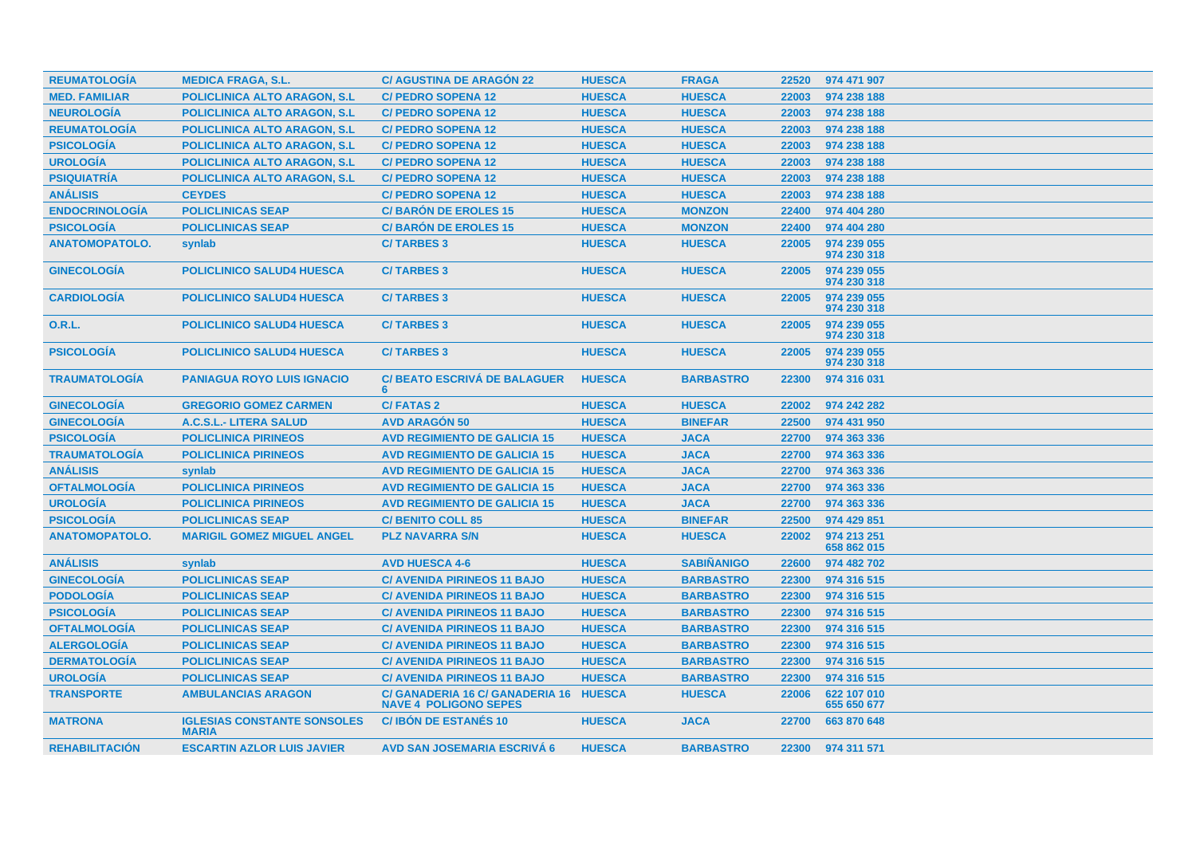| <b>REUMATOLOGÍA</b>   | <b>MEDICA FRAGA, S.L.</b>                          | <b>C/ AGUSTINA DE ARAGÓN 22</b>                                        | <b>HUESCA</b> | <b>FRAGA</b>      |       | 22520 974 471 907          |
|-----------------------|----------------------------------------------------|------------------------------------------------------------------------|---------------|-------------------|-------|----------------------------|
| <b>MED. FAMILIAR</b>  | <b>POLICLINICA ALTO ARAGON, S.L.</b>               | <b>C/ PEDRO SOPENA 12</b>                                              | <b>HUESCA</b> | <b>HUESCA</b>     | 22003 | 974 238 188                |
| <b>NEUROLOGÍA</b>     | <b>POLICLINICA ALTO ARAGON, S.L.</b>               | <b>C/ PEDRO SOPENA 12</b>                                              | <b>HUESCA</b> | <b>HUESCA</b>     | 22003 | 974 238 188                |
| <b>REUMATOLOGÍA</b>   | <b>POLICLINICA ALTO ARAGON, S.L.</b>               | <b>C/ PEDRO SOPENA 12</b>                                              | <b>HUESCA</b> | <b>HUESCA</b>     | 22003 | 974 238 188                |
| <b>PSICOLOGIA</b>     | <b>POLICLINICA ALTO ARAGON, S.L</b>                | <b>C/ PEDRO SOPENA 12</b>                                              | <b>HUESCA</b> | <b>HUESCA</b>     | 22003 | 974 238 188                |
| <b>UROLOGÍA</b>       | <b>POLICLINICA ALTO ARAGON, S.L.</b>               | <b>C/ PEDRO SOPENA 12</b>                                              | <b>HUESCA</b> | <b>HUESCA</b>     | 22003 | 974 238 188                |
| <b>PSIQUIATRÍA</b>    | POLICLINICA ALTO ARAGON, S.L.                      | <b>C/ PEDRO SOPENA 12</b>                                              | <b>HUESCA</b> | <b>HUESCA</b>     | 22003 | 974 238 188                |
| <b>ANÁLISIS</b>       | <b>CEYDES</b>                                      | <b>C/ PEDRO SOPENA 12</b>                                              | <b>HUESCA</b> | <b>HUESCA</b>     | 22003 | 974 238 188                |
| <b>ENDOCRINOLOGIA</b> | <b>POLICLINICAS SEAP</b>                           | <b>C/BARÓN DE EROLES 15</b>                                            | <b>HUESCA</b> | <b>MONZON</b>     | 22400 | 974 404 280                |
| <b>PSICOLOGÍA</b>     | <b>POLICLINICAS SEAP</b>                           | <b>C/BARON DE EROLES 15</b>                                            | <b>HUESCA</b> | <b>MONZON</b>     | 22400 | 974 404 280                |
| <b>ANATOMOPATOLO.</b> | synlab                                             | <b>C/TARBES 3</b>                                                      | <b>HUESCA</b> | <b>HUESCA</b>     | 22005 | 974 239 055<br>974 230 318 |
| <b>GINECOLOGÍA</b>    | <b>POLICLINICO SALUD4 HUESCA</b>                   | <b>C/TARBES 3</b>                                                      | <b>HUESCA</b> | <b>HUESCA</b>     | 22005 | 974 239 055<br>974 230 318 |
| <b>CARDIOLOGIA</b>    | <b>POLICLINICO SALUD4 HUESCA</b>                   | <b>C/TARBES 3</b>                                                      | <b>HUESCA</b> | <b>HUESCA</b>     | 22005 | 974 239 055<br>974 230 318 |
| 0.R.L.                | <b>POLICLINICO SALUD4 HUESCA</b>                   | <b>C/TARBES 3</b>                                                      | <b>HUESCA</b> | <b>HUESCA</b>     | 22005 | 974 239 055<br>974 230 318 |
| <b>PSICOLOGIA</b>     | <b>POLICLINICO SALUD4 HUESCA</b>                   | <b>C/TARBES 3</b>                                                      | <b>HUESCA</b> | <b>HUESCA</b>     | 22005 | 974 239 055<br>974 230 318 |
| <b>TRAUMATOLOGÍA</b>  | <b>PANIAGUA ROYO LUIS IGNACIO</b>                  | <b>C/ BEATO ESCRIVÁ DE BALAGUER</b><br>6                               | <b>HUESCA</b> | <b>BARBASTRO</b>  | 22300 | 974 316 031                |
| <b>GINECOLOGIA</b>    | <b>GREGORIO GOMEZ CARMEN</b>                       | <b>C/FATAS 2</b>                                                       | <b>HUESCA</b> | <b>HUESCA</b>     | 22002 | 974 242 282                |
| <b>GINECOLOGIA</b>    | A.C.S.L.- LITERA SALUD                             | <b>AVD ARAGON 50</b>                                                   | <b>HUESCA</b> | <b>BINEFAR</b>    | 22500 | 974 431 950                |
| <b>PSICOLOGÍA</b>     | <b>POLICLINICA PIRINEOS</b>                        | <b>AVD REGIMIENTO DE GALICIA 15</b>                                    | <b>HUESCA</b> | <b>JACA</b>       | 22700 | 974 363 336                |
| <b>TRAUMATOLOGÍA</b>  | <b>POLICLINICA PIRINEOS</b>                        | <b>AVD REGIMIENTO DE GALICIA 15</b>                                    | <b>HUESCA</b> | <b>JACA</b>       | 22700 | 974 363 336                |
| <b>ANÁLISIS</b>       | synlab                                             | <b>AVD REGIMIENTO DE GALICIA 15</b>                                    | <b>HUESCA</b> | <b>JACA</b>       | 22700 | 974 363 336                |
| <b>OFTALMOLOGIA</b>   | <b>POLICLINICA PIRINEOS</b>                        | <b>AVD REGIMIENTO DE GALICIA 15</b>                                    | <b>HUESCA</b> | <b>JACA</b>       | 22700 | 974 363 336                |
| <b>UROLOGÍA</b>       | <b>POLICLINICA PIRINEOS</b>                        | <b>AVD REGIMIENTO DE GALICIA 15</b>                                    | <b>HUESCA</b> | <b>JACA</b>       | 22700 | 974 363 336                |
| <b>PSICOLOGÍA</b>     | <b>POLICLINICAS SEAP</b>                           | <b>C/BENITO COLL 85</b>                                                | <b>HUESCA</b> | <b>BINEFAR</b>    | 22500 | 974 429 851                |
| <b>ANATOMOPATOLO.</b> | <b>MARIGIL GOMEZ MIGUEL ANGEL</b>                  | <b>PLZ NAVARRA S/N</b>                                                 | <b>HUESCA</b> | <b>HUESCA</b>     | 22002 | 974 213 251<br>658 862 015 |
| <b>ANÁLISIS</b>       | synlab                                             | <b>AVD HUESCA 4-6</b>                                                  | <b>HUESCA</b> | <b>SABIÑANIGO</b> | 22600 | 974 482 702                |
| <b>GINECOLOGÍA</b>    | <b>POLICLINICAS SEAP</b>                           | <b>C/ AVENIDA PIRINEOS 11 BAJO</b>                                     | <b>HUESCA</b> | <b>BARBASTRO</b>  | 22300 | 974 316 515                |
| <b>PODOLOGÍA</b>      | <b>POLICLINICAS SEAP</b>                           | <b>C/ AVENIDA PIRINEOS 11 BAJO</b>                                     | <b>HUESCA</b> | <b>BARBASTRO</b>  | 22300 | 974 316 515                |
| <b>PSICOLOGÍA</b>     | <b>POLICLINICAS SEAP</b>                           | <b>C/ AVENIDA PIRINEOS 11 BAJO</b>                                     | <b>HUESCA</b> | <b>BARBASTRO</b>  | 22300 | 974 316 515                |
| <b>OFTALMOLOGÍA</b>   | <b>POLICLINICAS SEAP</b>                           | <b>C/ AVENIDA PIRINEOS 11 BAJO</b>                                     | <b>HUESCA</b> | <b>BARBASTRO</b>  | 22300 | 974 316 515                |
| <b>ALERGOLOGÍA</b>    | <b>POLICLINICAS SEAP</b>                           | <b>C/ AVENIDA PIRINEOS 11 BAJO</b>                                     | <b>HUESCA</b> | <b>BARBASTRO</b>  | 22300 | 974 316 515                |
| <b>DERMATOLOGÍA</b>   | <b>POLICLINICAS SEAP</b>                           | <b>C/ AVENIDA PIRINEOS 11 BAJO</b>                                     | <b>HUESCA</b> | <b>BARBASTRO</b>  | 22300 | 974 316 515                |
| <b>UROLOGÍA</b>       | <b>POLICLINICAS SEAP</b>                           | <b>C/ AVENIDA PIRINEOS 11 BAJO</b>                                     | <b>HUESCA</b> | <b>BARBASTRO</b>  | 22300 | 974 316 515                |
| <b>TRANSPORTE</b>     | <b>AMBULANCIAS ARAGON</b>                          | C/ GANADERIA 16 C/ GANADERIA 16 HUESCA<br><b>NAVE 4 POLIGONO SEPES</b> |               | <b>HUESCA</b>     | 22006 | 622 107 010<br>655 650 677 |
| <b>MATRONA</b>        | <b>IGLESIAS CONSTANTE SONSOLES</b><br><b>MARIA</b> | <b>C/IBON DE ESTANÉS 10</b>                                            | <b>HUESCA</b> | <b>JACA</b>       | 22700 | 663 870 648                |
| <b>REHABILITACIÓN</b> | <b>ESCARTIN AZLOR LUIS JAVIER</b>                  | <b>AVD SAN JOSEMARIA ESCRIVÁ 6</b>                                     | <b>HUESCA</b> | <b>BARBASTRO</b>  |       | 22300 974 311 571          |
|                       |                                                    |                                                                        |               |                   |       |                            |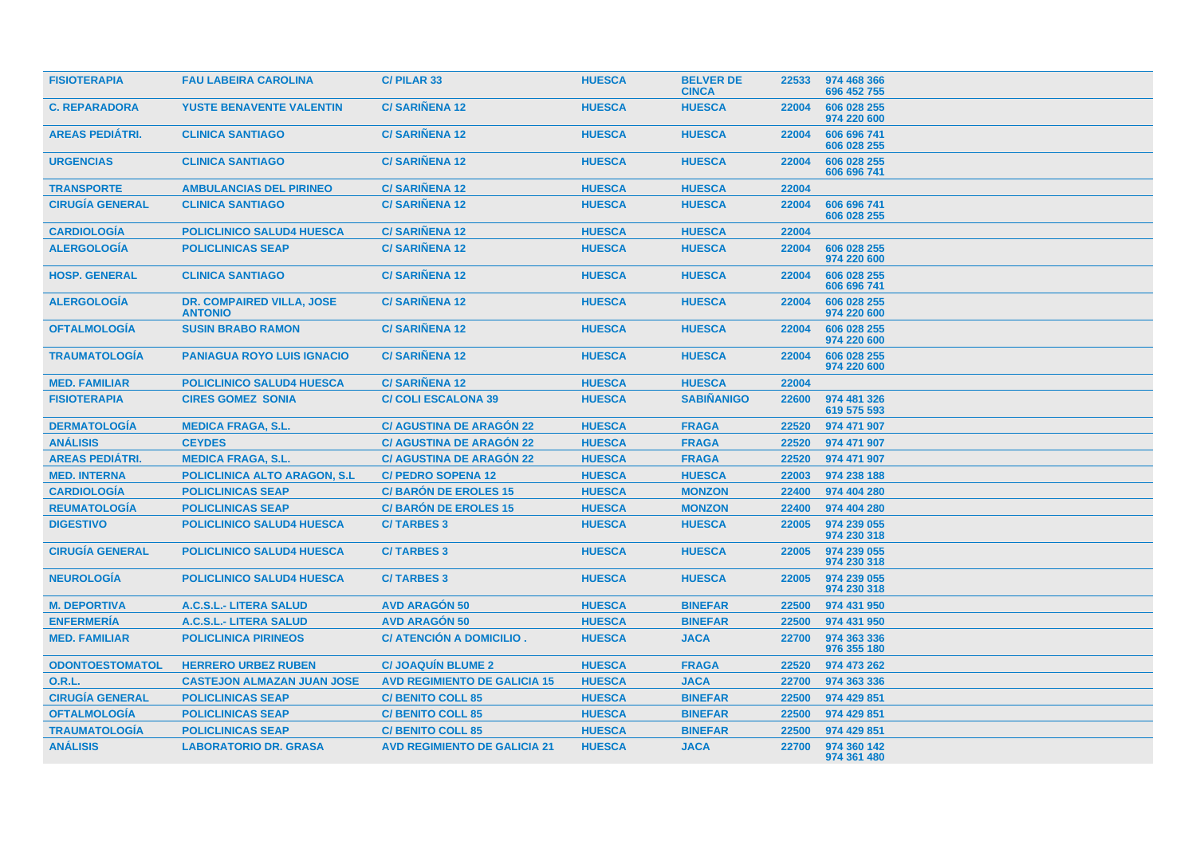| <b>FISIOTERAPIA</b>    | <b>FAU LABEIRA CAROLINA</b>                 | C/PILAR 33                          | <b>HUESCA</b> | <b>BELVER DE</b><br><b>CINCA</b> | 22533 | 974 468 366<br>696 452 755 |
|------------------------|---------------------------------------------|-------------------------------------|---------------|----------------------------------|-------|----------------------------|
| <b>C. REPARADORA</b>   | <b>YUSTE BENAVENTE VALENTIN</b>             | <b>C/SARINENA 12</b>                | <b>HUESCA</b> | <b>HUESCA</b>                    | 22004 | 606 028 255<br>974 220 600 |
| <b>AREAS PEDIÁTRI.</b> | <b>CLINICA SANTIAGO</b>                     | <b>C/SARINENA 12</b>                | <b>HUESCA</b> | <b>HUESCA</b>                    | 22004 | 606 696 741<br>606 028 255 |
| <b>URGENCIAS</b>       | <b>CLINICA SANTIAGO</b>                     | <b>C/SARIÑENA 12</b>                | <b>HUESCA</b> | <b>HUESCA</b>                    | 22004 | 606 028 255<br>606 696 741 |
| <b>TRANSPORTE</b>      | <b>AMBULANCIAS DEL PIRINEO</b>              | <b>C/SARIÑENA 12</b>                | <b>HUESCA</b> | <b>HUESCA</b>                    | 22004 |                            |
| <b>CIRUGIA GENERAL</b> | <b>CLINICA SANTIAGO</b>                     | <b>C/SARINENA 12</b>                | <b>HUESCA</b> | <b>HUESCA</b>                    | 22004 | 606 696 741<br>606 028 255 |
| <b>CARDIOLOGÍA</b>     | <b>POLICLINICO SALUD4 HUESCA</b>            | <b>C/SARIÑENA 12</b>                | <b>HUESCA</b> | <b>HUESCA</b>                    | 22004 |                            |
| <b>ALERGOLOGÍA</b>     | <b>POLICLINICAS SEAP</b>                    | <b>C/SARIÑENA 12</b>                | <b>HUESCA</b> | <b>HUESCA</b>                    | 22004 | 606 028 255<br>974 220 600 |
| <b>HOSP. GENERAL</b>   | <b>CLINICA SANTIAGO</b>                     | <b>C/SARIÑENA 12</b>                | <b>HUESCA</b> | <b>HUESCA</b>                    | 22004 | 606 028 255<br>606 696 741 |
| <b>ALERGOLOGÍA</b>     | DR. COMPAIRED VILLA, JOSE<br><b>ANTONIO</b> | <b>C/SARIÑENA 12</b>                | <b>HUESCA</b> | <b>HUESCA</b>                    | 22004 | 606 028 255<br>974 220 600 |
| <b>OFTALMOLOGIA</b>    | <b>SUSIN BRABO RAMON</b>                    | <b>C/SARIÑENA 12</b>                | <b>HUESCA</b> | <b>HUESCA</b>                    | 22004 | 606 028 255<br>974 220 600 |
| <b>TRAUMATOLOGIA</b>   | <b>PANIAGUA ROYO LUIS IGNACIO</b>           | <b>C/SARIÑENA 12</b>                | <b>HUESCA</b> | <b>HUESCA</b>                    | 22004 | 606 028 255<br>974 220 600 |
| <b>MED. FAMILIAR</b>   | <b>POLICLINICO SALUD4 HUESCA</b>            | <b>C/SARIÑENA 12</b>                | <b>HUESCA</b> | <b>HUESCA</b>                    | 22004 |                            |
| <b>FISIOTERAPIA</b>    | <b>CIRES GOMEZ SONIA</b>                    | <b>C/ COLI ESCALONA 39</b>          | <b>HUESCA</b> | <b>SABIÑANIGO</b>                | 22600 | 974 481 326<br>619 575 593 |
| <b>DERMATOLOGÍA</b>    | <b>MEDICA FRAGA, S.L.</b>                   | <b>C/ AGUSTINA DE ARAGÓN 22</b>     | <b>HUESCA</b> | <b>FRAGA</b>                     | 22520 | 974 471 907                |
| <b>ANÁLISIS</b>        | <b>CEYDES</b>                               | <b>C/ AGUSTINA DE ARAGON 22</b>     | <b>HUESCA</b> | <b>FRAGA</b>                     | 22520 | 974 471 907                |
| <b>AREAS PEDIÁTRI.</b> | <b>MEDICA FRAGA, S.L.</b>                   | <b>C/ AGUSTINA DE ARAGÓN 22</b>     | <b>HUESCA</b> | <b>FRAGA</b>                     | 22520 | 974 471 907                |
| <b>MED. INTERNA</b>    | <b>POLICLINICA ALTO ARAGON, S.L.</b>        | <b>C/ PEDRO SOPENA 12</b>           | <b>HUESCA</b> | <b>HUESCA</b>                    | 22003 | 974 238 188                |
| <b>CARDIOLOGÍA</b>     | <b>POLICLINICAS SEAP</b>                    | <b>C/BARÓN DE EROLES 15</b>         | <b>HUESCA</b> | <b>MONZON</b>                    | 22400 | 974 404 280                |
| <b>REUMATOLOGÍA</b>    | <b>POLICLINICAS SEAP</b>                    | <b>C/BARON DE EROLES 15</b>         | <b>HUESCA</b> | <b>MONZON</b>                    | 22400 | 974 404 280                |
| <b>DIGESTIVO</b>       | <b>POLICLINICO SALUD4 HUESCA</b>            | <b>C/TARBES 3</b>                   | <b>HUESCA</b> | <b>HUESCA</b>                    | 22005 | 974 239 055<br>974 230 318 |
| <b>CIRUGÍA GENERAL</b> | <b>POLICLINICO SALUD4 HUESCA</b>            | <b>C/TARBES 3</b>                   | <b>HUESCA</b> | <b>HUESCA</b>                    | 22005 | 974 239 055<br>974 230 318 |
| <b>NEUROLOGIA</b>      | <b>POLICLINICO SALUD4 HUESCA</b>            | <b>C/TARBES 3</b>                   | <b>HUESCA</b> | <b>HUESCA</b>                    | 22005 | 974 239 055<br>974 230 318 |
| <b>M. DEPORTIVA</b>    | A.C.S.L.- LITERA SALUD                      | <b>AVD ARAGON 50</b>                | <b>HUESCA</b> | <b>BINEFAR</b>                   | 22500 | 974 431 950                |
| <b>ENFERMERÍA</b>      | A.C.S.L.- LITERA SALUD                      | <b>AVD ARAGÓN 50</b>                | <b>HUESCA</b> | <b>BINEFAR</b>                   | 22500 | 974 431 950                |
| <b>MED. FAMILIAR</b>   | <b>POLICLINICA PIRINEOS</b>                 | C/ ATENCIÓN A DOMICILIO.            | <b>HUESCA</b> | <b>JACA</b>                      | 22700 | 974 363 336<br>976 355 180 |
| <b>ODONTOESTOMATOL</b> | <b>HERRERO URBEZ RUBEN</b>                  | <b>C/ JOAQUIN BLUME 2</b>           | <b>HUESCA</b> | <b>FRAGA</b>                     | 22520 | 974 473 262                |
| <b>O.R.L.</b>          | <b>CASTEJON ALMAZAN JUAN JOSE</b>           | <b>AVD REGIMIENTO DE GALICIA 15</b> | <b>HUESCA</b> | <b>JACA</b>                      | 22700 | 974 363 336                |
| <b>CIRUGÍA GENERAL</b> | <b>POLICLINICAS SEAP</b>                    | <b>C/ BENITO COLL 85</b>            | <b>HUESCA</b> | <b>BINEFAR</b>                   | 22500 | 974 429 851                |
| <b>OFTALMOLOGÍA</b>    | <b>POLICLINICAS SEAP</b>                    | <b>C/ BENITO COLL 85</b>            | <b>HUESCA</b> | <b>BINEFAR</b>                   | 22500 | 974 429 851                |
| <b>TRAUMATOLOGÍA</b>   | <b>POLICLINICAS SEAP</b>                    | <b>C/ BENITO COLL 85</b>            | <b>HUESCA</b> | <b>BINEFAR</b>                   | 22500 | 974 429 851                |
| <b>ANÁLISIS</b>        | <b>LABORATORIO DR. GRASA</b>                | <b>AVD REGIMIENTO DE GALICIA 21</b> | <b>HUESCA</b> | <b>JACA</b>                      | 22700 | 974 360 142<br>974 361 480 |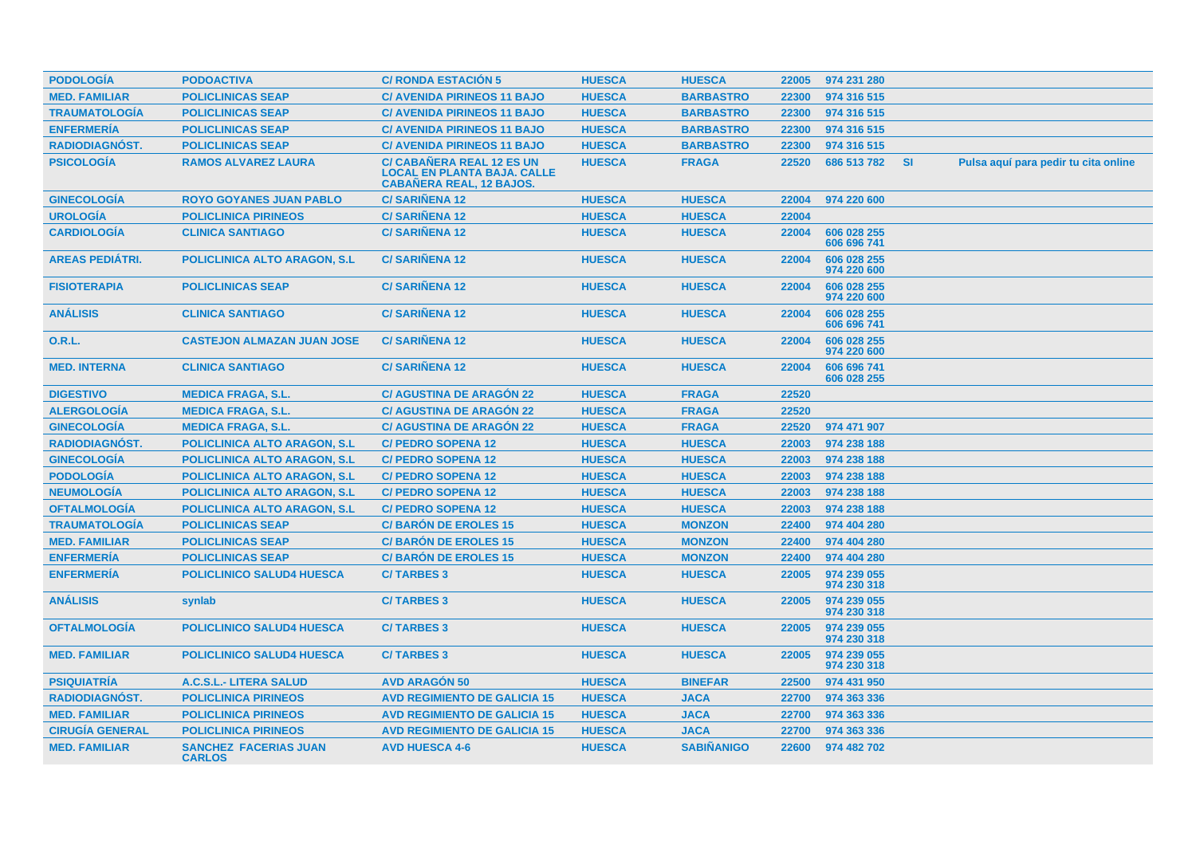| <b>PODOLOGIA</b>       | <b>PODOACTIVA</b>                             | <b>C/ RONDA ESTACION 5</b>                                                                         | <b>HUESCA</b> | <b>HUESCA</b>     | 22005 | 974 231 280                |           |                                      |
|------------------------|-----------------------------------------------|----------------------------------------------------------------------------------------------------|---------------|-------------------|-------|----------------------------|-----------|--------------------------------------|
| <b>MED. FAMILIAR</b>   | <b>POLICLINICAS SEAP</b>                      | <b>C/ AVENIDA PIRINEOS 11 BAJO</b>                                                                 | <b>HUESCA</b> | <b>BARBASTRO</b>  | 22300 | 974 316 515                |           |                                      |
| <b>TRAUMATOLOGÍA</b>   | <b>POLICLINICAS SEAP</b>                      | <b>C/ AVENIDA PIRINEOS 11 BAJO</b>                                                                 | <b>HUESCA</b> | <b>BARBASTRO</b>  | 22300 | 974 316 515                |           |                                      |
| <b>ENFERMERÍA</b>      | <b>POLICLINICAS SEAP</b>                      | <b>C/ AVENIDA PIRINEOS 11 BAJO</b>                                                                 | <b>HUESCA</b> | <b>BARBASTRO</b>  | 22300 | 974 316 515                |           |                                      |
| <b>RADIODIAGNOST.</b>  | <b>POLICLINICAS SEAP</b>                      | <b>C/ AVENIDA PIRINEOS 11 BAJO</b>                                                                 | <b>HUESCA</b> | <b>BARBASTRO</b>  | 22300 | 974 316 515                |           |                                      |
| <b>PSICOLOGÍA</b>      | <b>RAMOS ALVAREZ LAURA</b>                    | C/ CABAÑERA REAL 12 ES UN<br><b>LOCAL EN PLANTA BAJA. CALLE</b><br><b>CABAÑERA REAL, 12 BAJOS.</b> | <b>HUESCA</b> | <b>FRAGA</b>      | 22520 | 686 513 782                | <b>SI</b> | Pulsa aquí para pedir tu cita online |
| <b>GINECOLOGÍA</b>     | <b>ROYO GOYANES JUAN PABLO</b>                | <b>C/SARINENA 12</b>                                                                               | <b>HUESCA</b> | <b>HUESCA</b>     | 22004 | 974 220 600                |           |                                      |
| <b>UROLOGÍA</b>        | <b>POLICLINICA PIRINEOS</b>                   | <b>C/SARIÑENA 12</b>                                                                               | <b>HUESCA</b> | <b>HUESCA</b>     | 22004 |                            |           |                                      |
| <b>CARDIOLOGÍA</b>     | <b>CLINICA SANTIAGO</b>                       | <b>C/SARIÑENA 12</b>                                                                               | <b>HUESCA</b> | <b>HUESCA</b>     | 22004 | 606 028 255<br>606 696 741 |           |                                      |
| <b>AREAS PEDIÁTRI.</b> | <b>POLICLINICA ALTO ARAGON, S.L.</b>          | <b>C/SARIÑENA 12</b>                                                                               | <b>HUESCA</b> | <b>HUESCA</b>     | 22004 | 606 028 255<br>974 220 600 |           |                                      |
| <b>FISIOTERAPIA</b>    | <b>POLICLINICAS SEAP</b>                      | <b>C/SARINENA 12</b>                                                                               | <b>HUESCA</b> | <b>HUESCA</b>     | 22004 | 606 028 255<br>974 220 600 |           |                                      |
| <b>ANÁLISIS</b>        | <b>CLINICA SANTIAGO</b>                       | <b>C/SARIÑENA 12</b>                                                                               | <b>HUESCA</b> | <b>HUESCA</b>     | 22004 | 606 028 255<br>606 696 741 |           |                                      |
| <b>O.R.L.</b>          | <b>CASTEJON ALMAZAN JUAN JOSE</b>             | <b>C/SARINENA 12</b>                                                                               | <b>HUESCA</b> | <b>HUESCA</b>     | 22004 | 606 028 255<br>974 220 600 |           |                                      |
| <b>MED. INTERNA</b>    | <b>CLINICA SANTIAGO</b>                       | <b>C/SARINENA 12</b>                                                                               | <b>HUESCA</b> | <b>HUESCA</b>     | 22004 | 606 696 741<br>606 028 255 |           |                                      |
| <b>DIGESTIVO</b>       | <b>MEDICA FRAGA, S.L.</b>                     | <b>C/ AGUSTINA DE ARAGÓN 22</b>                                                                    | <b>HUESCA</b> | <b>FRAGA</b>      | 22520 |                            |           |                                      |
| <b>ALERGOLOGÍA</b>     | <b>MEDICA FRAGA, S.L.</b>                     | <b>C/ AGUSTINA DE ARAGÓN 22</b>                                                                    | <b>HUESCA</b> | <b>FRAGA</b>      | 22520 |                            |           |                                      |
| <b>GINECOLOGÍA</b>     | <b>MEDICA FRAGA, S.L.</b>                     | <b>C/AGUSTINA DE ARAGÓN 22</b>                                                                     | <b>HUESCA</b> | <b>FRAGA</b>      | 22520 | 974 471 907                |           |                                      |
| <b>RADIODIAGNÓST.</b>  | <b>POLICLINICA ALTO ARAGON, S.L</b>           | <b>C/ PEDRO SOPENA 12</b>                                                                          | <b>HUESCA</b> | <b>HUESCA</b>     | 22003 | 974 238 188                |           |                                      |
| <b>GINECOLOGÍA</b>     | <b>POLICLINICA ALTO ARAGON, S.L.</b>          | <b>C/ PEDRO SOPENA 12</b>                                                                          | <b>HUESCA</b> | <b>HUESCA</b>     | 22003 | 974 238 188                |           |                                      |
| <b>PODOLOGÍA</b>       | POLICLINICA ALTO ARAGON, S.L.                 | <b>C/ PEDRO SOPENA 12</b>                                                                          | <b>HUESCA</b> | <b>HUESCA</b>     | 22003 | 974 238 188                |           |                                      |
| <b>NEUMOLOGÍA</b>      | <b>POLICLINICA ALTO ARAGON, S.L.</b>          | <b>C/ PEDRO SOPENA 12</b>                                                                          | <b>HUESCA</b> | <b>HUESCA</b>     | 22003 | 974 238 188                |           |                                      |
| <b>OFTALMOLOGÍA</b>    | <b>POLICLINICA ALTO ARAGON, S.L.</b>          | <b>C/ PEDRO SOPENA 12</b>                                                                          | <b>HUESCA</b> | <b>HUESCA</b>     | 22003 | 974 238 188                |           |                                      |
| <b>TRAUMATOLOGÍA</b>   | <b>POLICLINICAS SEAP</b>                      | <b>C/BARON DE EROLES 15</b>                                                                        | <b>HUESCA</b> | <b>MONZON</b>     | 22400 | 974 404 280                |           |                                      |
| <b>MED. FAMILIAR</b>   | <b>POLICLINICAS SEAP</b>                      | <b>C/BARÓN DE EROLES 15</b>                                                                        | <b>HUESCA</b> | <b>MONZON</b>     | 22400 | 974 404 280                |           |                                      |
| <b>ENFERMERÍA</b>      | <b>POLICLINICAS SEAP</b>                      | <b>C/BARON DE EROLES 15</b>                                                                        | <b>HUESCA</b> | <b>MONZON</b>     | 22400 | 974 404 280                |           |                                      |
| <b>ENFERMERÍA</b>      | <b>POLICLINICO SALUD4 HUESCA</b>              | <b>C/TARBES 3</b>                                                                                  | <b>HUESCA</b> | <b>HUESCA</b>     | 22005 | 974 239 055<br>974 230 318 |           |                                      |
| <b>ANÁLISIS</b>        | synlab                                        | <b>C/TARBES 3</b>                                                                                  | <b>HUESCA</b> | <b>HUESCA</b>     | 22005 | 974 239 055<br>974 230 318 |           |                                      |
| <b>OFTALMOLOGIA</b>    | <b>POLICLINICO SALUD4 HUESCA</b>              | <b>C/TARBES 3</b>                                                                                  | <b>HUESCA</b> | <b>HUESCA</b>     | 22005 | 974 239 055<br>974 230 318 |           |                                      |
| <b>MED. FAMILIAR</b>   | <b>POLICLINICO SALUD4 HUESCA</b>              | <b>C/TARBES 3</b>                                                                                  | <b>HUESCA</b> | <b>HUESCA</b>     | 22005 | 974 239 055<br>974 230 318 |           |                                      |
| <b>PSIQUIATRIA</b>     | A.C.S.L.- LITERA SALUD                        | <b>AVD ARAGON 50</b>                                                                               | <b>HUESCA</b> | <b>BINEFAR</b>    | 22500 | 974 431 950                |           |                                      |
| <b>RADIODIAGNOST.</b>  | <b>POLICLINICA PIRINEOS</b>                   | <b>AVD REGIMIENTO DE GALICIA 15</b>                                                                | <b>HUESCA</b> | <b>JACA</b>       | 22700 | 974 363 336                |           |                                      |
| <b>MED. FAMILIAR</b>   | <b>POLICLINICA PIRINEOS</b>                   | <b>AVD REGIMIENTO DE GALICIA 15</b>                                                                | <b>HUESCA</b> | <b>JACA</b>       | 22700 | 974 363 336                |           |                                      |
| <b>CIRUGIA GENERAL</b> | <b>POLICLINICA PIRINEOS</b>                   | <b>AVD REGIMIENTO DE GALICIA 15</b>                                                                | <b>HUESCA</b> | <b>JACA</b>       | 22700 | 974 363 336                |           |                                      |
| <b>MED. FAMILIAR</b>   | <b>SANCHEZ FACERIAS JUAN</b><br><b>CARLOS</b> | <b>AVD HUESCA 4-6</b>                                                                              | <b>HUESCA</b> | <b>SABIÑANIGO</b> | 22600 | 974 482 702                |           |                                      |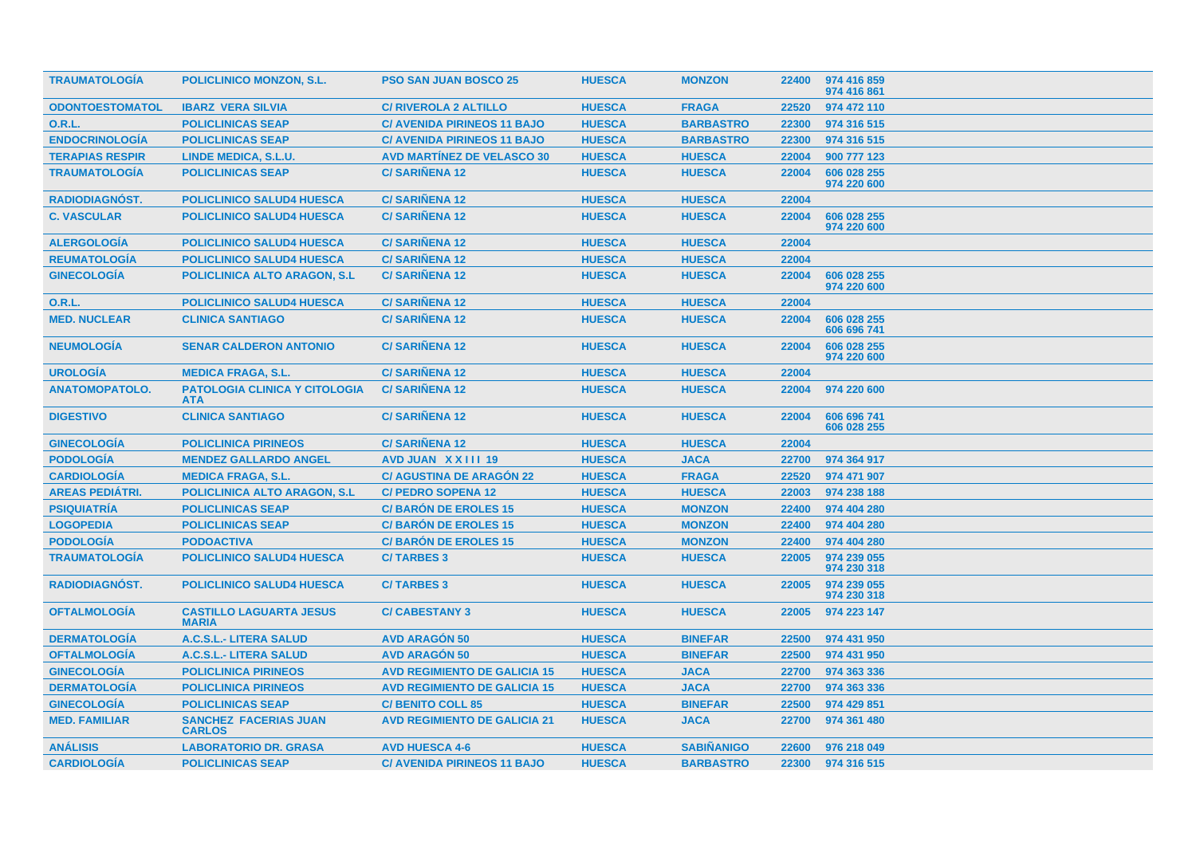| <b>TRAUMATOLOGIA</b>   | <b>POLICLINICO MONZON, S.L.</b>                    | <b>PSO SAN JUAN BOSCO 25</b>        | <b>HUESCA</b> | <b>MONZON</b>     | 22400 | 974 416 859<br>974 416 861 |
|------------------------|----------------------------------------------------|-------------------------------------|---------------|-------------------|-------|----------------------------|
| <b>ODONTOESTOMATOL</b> | <b>IBARZ VERA SILVIA</b>                           | <b>C/ RIVEROLA 2 ALTILLO</b>        | <b>HUESCA</b> | <b>FRAGA</b>      | 22520 | 974 472 110                |
| <b>O.R.L.</b>          | <b>POLICLINICAS SEAP</b>                           | <b>C/ AVENIDA PIRINEOS 11 BAJO</b>  | <b>HUESCA</b> | <b>BARBASTRO</b>  | 22300 | 974 316 515                |
| <b>ENDOCRINOLOGÍA</b>  | <b>POLICLINICAS SEAP</b>                           | <b>C/ AVENIDA PIRINEOS 11 BAJO</b>  | <b>HUESCA</b> | <b>BARBASTRO</b>  | 22300 | 974 316 515                |
| <b>TERAPIAS RESPIR</b> | <b>LINDE MEDICA, S.L.U.</b>                        | <b>AVD MARTINEZ DE VELASCO 30</b>   | <b>HUESCA</b> | <b>HUESCA</b>     | 22004 | 900 777 123                |
| <b>TRAUMATOLOGÍA</b>   | <b>POLICLINICAS SEAP</b>                           | <b>C/SARIÑENA 12</b>                | <b>HUESCA</b> | <b>HUESCA</b>     | 22004 | 606 028 255<br>974 220 600 |
| <b>RADIODIAGNÓST.</b>  | <b>POLICLINICO SALUD4 HUESCA</b>                   | <b>C/SARIÑENA 12</b>                | <b>HUESCA</b> | <b>HUESCA</b>     | 22004 |                            |
| <b>C. VASCULAR</b>     | <b>POLICLINICO SALUD4 HUESCA</b>                   | <b>C/SARIÑENA 12</b>                | <b>HUESCA</b> | <b>HUESCA</b>     | 22004 | 606 028 255<br>974 220 600 |
| <b>ALERGOLOGÍA</b>     | <b>POLICLINICO SALUD4 HUESCA</b>                   | <b>C/SARIÑENA 12</b>                | <b>HUESCA</b> | <b>HUESCA</b>     | 22004 |                            |
| <b>REUMATOLOGIA</b>    | <b>POLICLINICO SALUD4 HUESCA</b>                   | <b>C/SARIÑENA 12</b>                | <b>HUESCA</b> | <b>HUESCA</b>     | 22004 |                            |
| <b>GINECOLOGÍA</b>     | <b>POLICLINICA ALTO ARAGON, S.L.</b>               | <b>C/SARIÑENA 12</b>                | <b>HUESCA</b> | <b>HUESCA</b>     | 22004 | 606 028 255<br>974 220 600 |
| <b>O.R.L.</b>          | <b>POLICLINICO SALUD4 HUESCA</b>                   | <b>C/SARIÑENA 12</b>                | <b>HUESCA</b> | <b>HUESCA</b>     | 22004 |                            |
| <b>MED. NUCLEAR</b>    | <b>CLINICA SANTIAGO</b>                            | <b>C/SARIÑENA 12</b>                | <b>HUESCA</b> | <b>HUESCA</b>     | 22004 | 606 028 255<br>606 696 741 |
| <b>NEUMOLOGÍA</b>      | <b>SENAR CALDERON ANTONIO</b>                      | <b>C/SARIÑENA 12</b>                | <b>HUESCA</b> | <b>HUESCA</b>     | 22004 | 606 028 255<br>974 220 600 |
| <b>UROLOGIA</b>        | <b>MEDICA FRAGA, S.L.</b>                          | <b>C/SARIÑENA 12</b>                | <b>HUESCA</b> | <b>HUESCA</b>     | 22004 |                            |
| <b>ANATOMOPATOLO.</b>  | <b>PATOLOGIA CLINICA Y CITOLOGIA</b><br><b>ATA</b> | <b>C/SARIÑENA 12</b>                | <b>HUESCA</b> | <b>HUESCA</b>     | 22004 | 974 220 600                |
| <b>DIGESTIVO</b>       | <b>CLINICA SANTIAGO</b>                            | <b>C/SARIÑENA 12</b>                | <b>HUESCA</b> | <b>HUESCA</b>     | 22004 | 606 696 741<br>606 028 255 |
| <b>GINECOLOGÍA</b>     | <b>POLICLINICA PIRINEOS</b>                        | <b>C/SARIÑENA 12</b>                | <b>HUESCA</b> | <b>HUESCA</b>     | 22004 |                            |
| <b>PODOLOGÍA</b>       | <b>MENDEZ GALLARDO ANGEL</b>                       | AVD JUAN XXIII 19                   | <b>HUESCA</b> | <b>JACA</b>       | 22700 | 974 364 917                |
| <b>CARDIOLOGÍA</b>     | <b>MEDICA FRAGA, S.L.</b>                          | <b>C/ AGUSTINA DE ARAGÓN 22</b>     | <b>HUESCA</b> | <b>FRAGA</b>      | 22520 | 974 471 907                |
| <b>AREAS PEDIÁTRI.</b> | <b>POLICLINICA ALTO ARAGON, S.L.</b>               | <b>C/ PEDRO SOPENA 12</b>           | <b>HUESCA</b> | <b>HUESCA</b>     | 22003 | 974 238 188                |
| <b>PSIQUIATRÍA</b>     | <b>POLICLINICAS SEAP</b>                           | <b>C/BARÓN DE EROLES 15</b>         | <b>HUESCA</b> | <b>MONZON</b>     | 22400 | 974 404 280                |
| <b>LOGOPEDIA</b>       | <b>POLICLINICAS SEAP</b>                           | <b>C/BARÓN DE EROLES 15</b>         | <b>HUESCA</b> | <b>MONZON</b>     | 22400 | 974 404 280                |
| <b>PODOLOGÍA</b>       | <b>PODOACTIVA</b>                                  | <b>C/BARON DE EROLES 15</b>         | <b>HUESCA</b> | <b>MONZON</b>     | 22400 | 974 404 280                |
| <b>TRAUMATOLOGIA</b>   | <b>POLICLINICO SALUD4 HUESCA</b>                   | <b>C/TARBES 3</b>                   | <b>HUESCA</b> | <b>HUESCA</b>     | 22005 | 974 239 055<br>974 230 318 |
| <b>RADIODIAGNÓST.</b>  | <b>POLICLINICO SALUD4 HUESCA</b>                   | <b>C/TARBES 3</b>                   | <b>HUESCA</b> | <b>HUESCA</b>     | 22005 | 974 239 055<br>974 230 318 |
| <b>OFTALMOLOGÍA</b>    | <b>CASTILLO LAGUARTA JESUS</b><br><b>MARIA</b>     | <b>C/CABESTANY 3</b>                | <b>HUESCA</b> | <b>HUESCA</b>     | 22005 | 974 223 147                |
| <b>DERMATOLOGÍA</b>    | A.C.S.L.- LITERA SALUD                             | <b>AVD ARAGÓN 50</b>                | <b>HUESCA</b> | <b>BINEFAR</b>    | 22500 | 974 431 950                |
| <b>OFTALMOLOGÍA</b>    | A.C.S.L.- LITERA SALUD                             | <b>AVD ARAGÓN 50</b>                | <b>HUESCA</b> | <b>BINEFAR</b>    | 22500 | 974 431 950                |
| <b>GINECOLOGÍA</b>     | <b>POLICLINICA PIRINEOS</b>                        | <b>AVD REGIMIENTO DE GALICIA 15</b> | <b>HUESCA</b> | <b>JACA</b>       | 22700 | 974 363 336                |
| <b>DERMATOLOGÍA</b>    | <b>POLICLINICA PIRINEOS</b>                        | <b>AVD REGIMIENTO DE GALICIA 15</b> | <b>HUESCA</b> | <b>JACA</b>       | 22700 | 974 363 336                |
| <b>GINECOLOGÍA</b>     | <b>POLICLINICAS SEAP</b>                           | <b>C/ BENITO COLL 85</b>            | <b>HUESCA</b> | <b>BINEFAR</b>    | 22500 | 974 429 851                |
| <b>MED. FAMILIAR</b>   | <b>SANCHEZ FACERIAS JUAN</b><br><b>CARLOS</b>      | <b>AVD REGIMIENTO DE GALICIA 21</b> | <b>HUESCA</b> | <b>JACA</b>       | 22700 | 974 361 480                |
| <b>ANÁLISIS</b>        | <b>LABORATORIO DR. GRASA</b>                       | <b>AVD HUESCA 4-6</b>               | <b>HUESCA</b> | <b>SABIÑANIGO</b> | 22600 | 976 218 049                |
| <b>CARDIOLOGÍA</b>     | <b>POLICLINICAS SEAP</b>                           | <b>C/ AVENIDA PIRINEOS 11 BAJO</b>  | <b>HUESCA</b> | <b>BARBASTRO</b>  | 22300 | 974 316 515                |
|                        |                                                    |                                     |               |                   |       |                            |